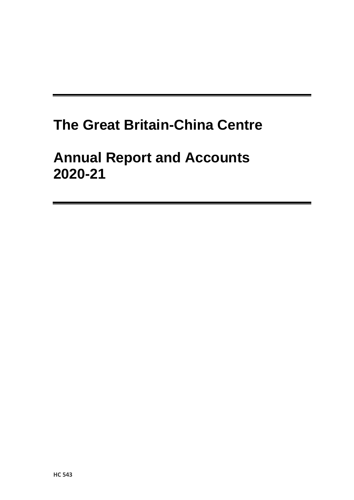## **The Great Britain-China Centre**

## **Annual Report and Accounts 2020-21**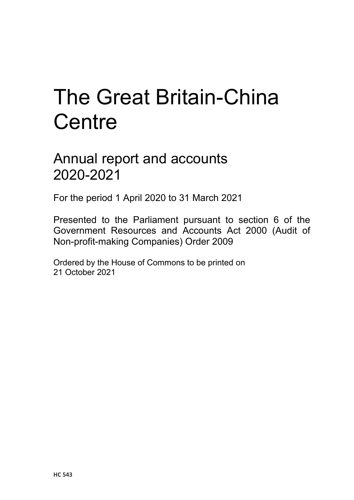# The Great Britain-China **Centre**

## Annual report and accounts 2020-2021

For the period 1 April 2020 to 31 March 2021

Presented to the Parliament pursuant to section 6 of the Government Resources and Accounts Act 2000 (Audit of Non-profit-making Companies) Order 2009

Ordered by the House of Commons to be printed on 21 October 2021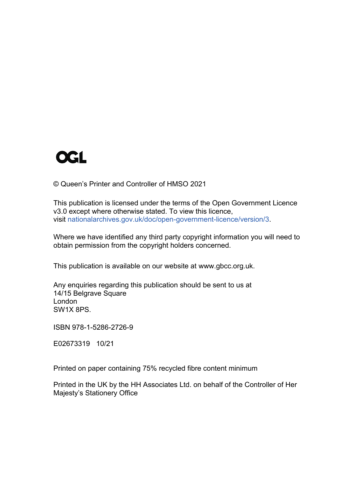

© Queen's Printer and Controller of HMSO 2021

This publication is licensed under the terms of the Open Government Licence v3.0 except where otherwise stated. To view this licence, visit [nationalarchives.gov.uk/doc/open-government-licence/version/3.](http://www.nationalarchives.gov.uk/doc/open-government-licence/version/3)

Where we have identified any third party copyright information you will need to obtain permission from the copyright holders concerned.

This publication is available on our website at www.gbcc.org.uk.

Any enquiries regarding this publication should be sent to us at 14/15 Belgrave Square London SW1X 8PS.

ISBN 978-1-5286-2726-9

E02673319 10/21

Printed on paper containing 75% recycled fibre content minimum

Printed in the UK by the HH Associates Ltd. on behalf of the Controller of Her Majesty's Stationery Office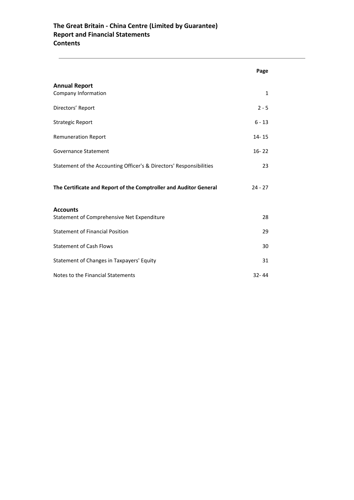## **The Great Britain - China Centre (Limited by Guarantee) Report and Financial Statements Contents**

|                                                                     | Page      |  |
|---------------------------------------------------------------------|-----------|--|
| <b>Annual Report</b><br>Company Information                         | 1         |  |
| Directors' Report                                                   | $2 - 5$   |  |
| <b>Strategic Report</b>                                             | $6 - 13$  |  |
| <b>Remuneration Report</b>                                          | 14-15     |  |
| Governance Statement                                                | $16 - 22$ |  |
| Statement of the Accounting Officer's & Directors' Responsibilities | 23        |  |
| The Certificate and Report of the Comptroller and Auditor General   | $24 - 27$ |  |
| <b>Accounts</b><br>Statement of Comprehensive Net Expenditure       | 28        |  |
| <b>Statement of Financial Position</b>                              | 29        |  |
| <b>Statement of Cash Flows</b>                                      | 30        |  |
| Statement of Changes in Taxpayers' Equity                           | 31        |  |
| Notes to the Financial Statements                                   | $32 - 44$ |  |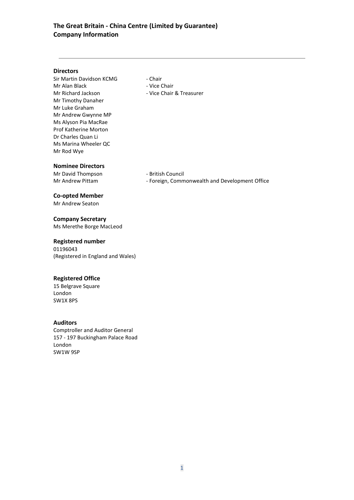## **The Great Britain - China Centre (Limited by Guarantee) Company Information**

## **Directors**

Sir Martin Davidson KCMG - Chair Mr Alan Black - Vice Chair Mr Richard Jackson - Vice Chair & Treasurer Mr Timothy Danaher Mr Luke Graham Mr Andrew Gwynne MP Ms Alyson Pia MacRae Prof Katherine Morton Dr Charles Quan Li Ms Marina Wheeler QC Mr Rod Wye

**Nominee Directors**

Mr David Thompson - British Council

Mr Andrew Pittam - Foreign, Commonwealth and Development Office

## **Co-opted Member**

Mr Andrew Seaton

## **Company Secretary**

Ms Merethe Borge MacLeod

## **Registered number**

01196043 (Registered in England and Wales)

## **Registered Office**

15 Belgrave Square London SW1X 8PS

## **Auditors**

Comptroller and Auditor General 157 - 197 Buckingham Palace Road London SW1W 9SP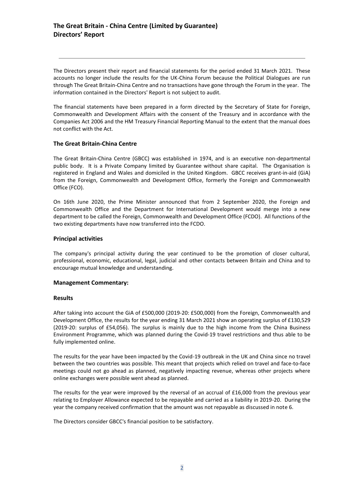The Directors present their report and financial statements for the period ended 31 March 2021. These accounts no longer include the results for the UK-China Forum because the Political Dialogues are run through The Great Britain-China Centre and no transactions have gone through the Forum in the year. The information contained in the Directors' Report is not subject to audit.

The financial statements have been prepared in a form directed by the Secretary of State for Foreign, Commonwealth and Development Affairs with the consent of the Treasury and in accordance with the Companies Act 2006 and the HM Treasury Financial Reporting Manual to the extent that the manual does not conflict with the Act.

## **The Great Britain-China Centre**

The Great Britain-China Centre (GBCC) was established in 1974, and is an executive non-departmental public body. It is a Private Company limited by Guarantee without share capital. The Organisation is registered in England and Wales and domiciled in the United Kingdom. GBCC receives grant-in-aid (GiA) from the Foreign, Commonwealth and Development Office, formerly the Foreign and Commonwealth Office (FCO).

On 16th June 2020, the Prime Minister announced that from 2 September 2020, the Foreign and Commonwealth Office and the Department for International Development would merge into a new department to be called the Foreign, Commonwealth and Development Office (FCDO). All functions of the two existing departments have now transferred into the FCDO.

## **Principal activities**

The company's principal activity during the year continued to be the promotion of closer cultural, professional, economic, educational, legal, judicial and other contacts between Britain and China and to encourage mutual knowledge and understanding.

## **Management Commentary:**

## **Results**

After taking into account the GiA of £500,000 (2019-20: £500,000) from the Foreign, Commonwealth and Development Office, the results for the year ending 31 March 2021 show an operating surplus of £130,529 (2019-20: surplus of £54,056). The surplus is mainly due to the high income from the China Business Environment Programme, which was planned during the Covid-19 travel restrictions and thus able to be fully implemented online.

The results for the year have been impacted by the Covid-19 outbreak in the UK and China since no travel between the two countries was possible. This meant that projects which relied on travel and face-to-face meetings could not go ahead as planned, negatively impacting revenue, whereas other projects where online exchanges were possible went ahead as planned.

The results for the year were improved by the reversal of an accrual of £16,000 from the previous year relating to Employer Allowance expected to be repayable and carried as a liability in 2019-20. During the year the company received confirmation that the amount was not repayable as discussed in note 6.

The Directors consider GBCC's financial position to be satisfactory.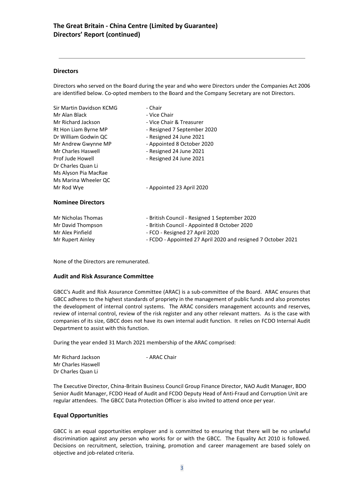## **Directors**

Directors who served on the Board during the year and who were Directors under the Companies Act 2006 are identified below. Co-opted members to the Board and the Company Secretary are not Directors.

| Sir Martin Davidson KCMG | - Chair                                                      |  |  |  |
|--------------------------|--------------------------------------------------------------|--|--|--|
| Mr Alan Black            | - Vice Chair                                                 |  |  |  |
| Mr Richard Jackson       | - Vice Chair & Treasurer                                     |  |  |  |
| Rt Hon Liam Byrne MP     | - Resigned 7 September 2020                                  |  |  |  |
| Dr William Godwin QC     | - Resigned 24 June 2021                                      |  |  |  |
| Mr Andrew Gwynne MP      | - Appointed 8 October 2020                                   |  |  |  |
| Mr Charles Haswell       | - Resigned 24 June 2021                                      |  |  |  |
| Prof Jude Howell         | - Resigned 24 June 2021                                      |  |  |  |
| Dr Charles Quan Li       |                                                              |  |  |  |
| Ms Alyson Pia MacRae     |                                                              |  |  |  |
| Ms Marina Wheeler QC     |                                                              |  |  |  |
| Mr Rod Wye               | - Appointed 23 April 2020                                    |  |  |  |
| <b>Nominee Directors</b> |                                                              |  |  |  |
| Mr Nicholas Thomas       | - British Council - Resigned 1 September 2020                |  |  |  |
| Mr David Thompson        | - British Council - Appointed 8 October 2020                 |  |  |  |
| Mr Alex Pinfield         | - FCO - Resigned 27 April 2020                               |  |  |  |
| Mr Rupert Ainley         | - FCDO - Appointed 27 April 2020 and resigned 7 October 2021 |  |  |  |

None of the Directors are remunerated.

## **Audit and Risk Assurance Committee**

GBCC's Audit and Risk Assurance Committee (ARAC) is a sub-committee of the Board. ARAC ensures that GBCC adheres to the highest standards of propriety in the management of public funds and also promotes the development of internal control systems. The ARAC considers management accounts and reserves, review of internal control, review of the risk register and any other relevant matters. As is the case with companies of its size, GBCC does not have its own internal audit function. It relies on FCDO Internal Audit Department to assist with this function.

During the year ended 31 March 2021 membership of the ARAC comprised:

| Mr Richard Jackson | - ARAC Chair |
|--------------------|--------------|
| Mr Charles Haswell |              |
| Dr Charles Quan Li |              |

The Executive Director, China-Britain Business Council Group Finance Director, NAO Audit Manager, BDO Senior Audit Manager, FCDO Head of Audit and FCDO Deputy Head of Anti-Fraud and Corruption Unit are regular attendees. The GBCC Data Protection Officer is also invited to attend once per year.

## **Equal Opportunities**

GBCC is an equal opportunities employer and is committed to ensuring that there will be no unlawful discrimination against any person who works for or with the GBCC. The Equality Act 2010 is followed. Decisions on recruitment, selection, training, promotion and career management are based solely on objective and job-related criteria.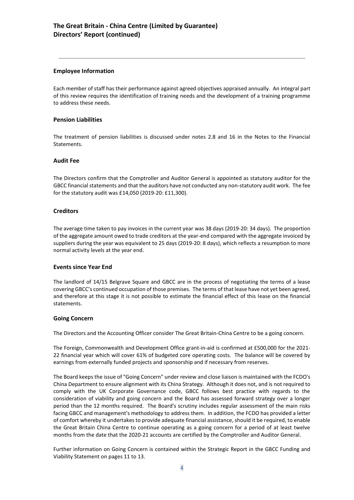## **Employee Information**

Each member of staff has their performance against agreed objectives appraised annually. An integral part of this review requires the identification of training needs and the development of a training programme to address these needs.

## **Pension Liabilities**

The treatment of pension liabilities is discussed under notes 2.8 and 16 in the Notes to the Financial **Statements** 

### **Audit Fee**

The Directors confirm that the Comptroller and Auditor General is appointed as statutory auditor for the GBCC financial statements and that the auditors have not conducted any non-statutory audit work. The fee for the statutory audit was £14,050 (2019-20: £11,300).

### **Creditors**

The average time taken to pay invoices in the current year was 38 days (2019-20: 34 days). The proportion of the aggregate amount owed to trade creditors at the year-end compared with the aggregate invoiced by suppliers during the year was equivalent to 25 days (2019-20: 8 days), which reflects a resumption to more normal activity levels at the year end.

## **Events since Year End**

The landlord of 14/15 Belgrave Square and GBCC are in the process of negotiating the terms of a lease covering GBCC's continued occupation of those premises. The terms of that lease have not yet been agreed, and therefore at this stage it is not possible to estimate the financial effect of this lease on the financial statements.

#### **Going Concern**

The Directors and the Accounting Officer consider The Great Britain-China Centre to be a going concern.

The Foreign, Commonwealth and Development Office grant-in-aid is confirmed at £500,000 for the 2021- 22 financial year which will cover 61% of budgeted core operating costs. The balance will be covered by earnings from externally funded projects and sponsorship and if necessary from reserves.

The Board keeps the issue of "Going Concern" under review and close liaison is maintained with the FCDO's China Department to ensure alignment with its China Strategy. Although it does not, and is not required to comply with the UK Corporate Governance code, GBCC follows best practice with regards to the consideration of viability and going concern and the Board has assessed forward strategy over a longer period than the 12 months required. The Board's scrutiny includes regular assessment of the main risks facing GBCC and management's methodology to address them. In addition, the FCDO has provided a letter of comfort whereby it undertakes to provide adequate financial assistance, should it be required, to enable the Great Britain China Centre to continue operating as a going concern for a period of at least twelve months from the date that the 2020-21 accounts are certified by the Comptroller and Auditor General.

Further information on Going Concern is contained within the Strategic Report in the GBCC Funding and Viability Statement on pages 11 to 13.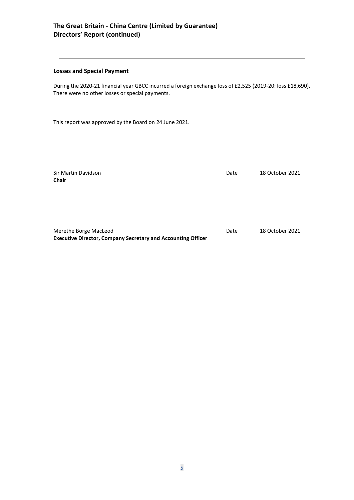## **The Great Britain - China Centre (Limited by Guarantee) Directors' Report (continued)**

## **Losses and Special Payment**

During the 2020-21 financial year GBCC incurred a foreign exchange loss of £2,525 (2019-20: loss £18,690). There were no other losses or special payments.

This report was approved by the Board on 24 June 2021.

| Sir Martin Davidson<br><b>Chair</b>                                                          | Date | 18 October 2021 |
|----------------------------------------------------------------------------------------------|------|-----------------|
|                                                                                              |      |                 |
| Merethe Borge MacLeod<br><b>Executive Director, Company Secretary and Accounting Officer</b> | Date | 18 October 2021 |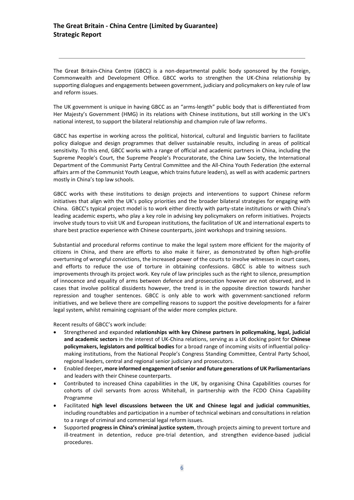The Great Britain-China Centre (GBCC) is a non-departmental public body sponsored by the Foreign, Commonwealth and Development Office. GBCC works to strengthen the UK-China relationship by supporting dialogues and engagements between government, judiciary and policymakers on key rule of law and reform issues.

The UK government is unique in having GBCC as an "arms-length" public body that is differentiated from Her Majesty's Government (HMG) in its relations with Chinese institutions, but still working in the UK's national interest, to support the bilateral relationship and champion rule of law reforms.

GBCC has expertise in working across the political, historical, cultural and linguistic barriers to facilitate policy dialogue and design programmes that deliver sustainable results, including in areas of political sensitivity. To this end, GBCC works with a range of official and academic partners in China, including the Supreme People's Court, the Supreme People's Procuratorate, the China Law Society, the International Department of the Communist Party Central Committee and the All-China Youth Federation (the external affairs arm of the Communist Youth League, which trains future leaders), as well as with academic partners mostly in China's top law schools.

GBCC works with these institutions to design projects and interventions to support Chinese reform initiatives that align with the UK's policy priorities and the broader bilateral strategies for engaging with China. GBCC's typical project model is to work either directly with party-state institutions or with China's leading academic experts, who play a key role in advising key policymakers on reform initiatives. Projects involve study tours to visit UK and European institutions, the facilitation of UK and international experts to share best practice experience with Chinese counterparts, joint workshops and training sessions.

Substantial and procedural reforms continue to make the legal system more efficient for the majority of citizens in China, and there are efforts to also make it fairer, as demonstrated by often high-profile overturning of wrongful convictions, the increased power of the courts to involve witnesses in court cases, and efforts to reduce the use of torture in obtaining confessions. GBCC is able to witness such improvements through its project work. Key rule of law principles such as the right to silence, presumption of innocence and equality of arms between defence and prosecution however are not observed, and in cases that involve political dissidents however, the trend is in the opposite direction towards harsher repression and tougher sentences. GBCC is only able to work with government-sanctioned reform initiatives, and we believe there are compelling reasons to support the positive developments for a fairer legal system, whilst remaining cognisant of the wider more complex picture.

Recent results of GBCC's work include:

- Strengthened and expanded **relationships with key Chinese partners in policymaking, legal, judicial and academic sectors** in the interest of UK-China relations, serving as a UK docking point for **Chinese policymakers, legislators and political bodies** for a broad range of incoming visits of influential policymaking institutions, from the National People's Congress Standing Committee, Central Party School, regional leaders, central and regional senior judiciary and prosecutors.
- Enabled deeper**, more informed engagement of senior and future generations of UK Parliamentarians** and leaders with their Chinese counterparts.
- Contributed to increased China capabilities in the UK, by organising China Capabilities courses for cohorts of civil servants from across Whitehall, in partnership with the FCDO China Capability Programme
- Facilitated **high level discussions between the UK and Chinese legal and judicial communities**, including roundtables and participation in a number of technical webinars and consultations in relation to a range of criminal and commercial legal reform issues.
- Supported **progress in China's criminal justice system**, through projects aiming to prevent torture and ill-treatment in detention, reduce pre-trial detention, and strengthen evidence-based judicial procedures.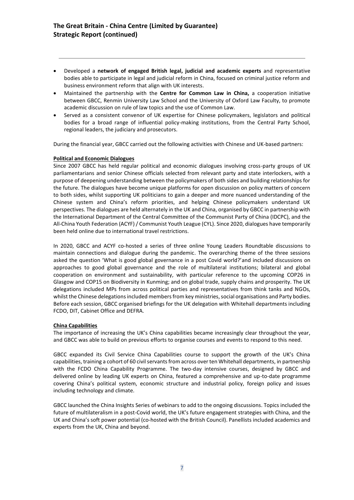- Developed a **network of engaged British legal, judicial and academic experts** and representative bodies able to participate in legal and judicial reform in China, focused on criminal justice reform and business environment reform that align with UK interests.
- Maintained the partnership with the **Centre for Common Law in China,** a cooperation initiative between GBCC, Renmin University Law School and the University of Oxford Law Faculty, to promote academic discussion on rule of law topics and the use of Common Law.
- Served as a consistent convenor of UK expertise for Chinese policymakers, legislators and political bodies for a broad range of influential policy-making institutions, from the Central Party School, regional leaders, the judiciary and prosecutors.

During the financial year, GBCC carried out the following activities with Chinese and UK-based partners:

### **Political and Economic Dialogues**

Since 2007 GBCC has held regular political and economic dialogues involving cross-party groups of UK parliamentarians and senior Chinese officials selected from relevant party and state interlockers, with a purpose of deepening understanding between the policymakers of both sides and building relationships for the future. The dialogues have become unique platforms for open discussion on policy matters of concern to both sides, whilst supporting UK politicians to gain a deeper and more nuanced understanding of the Chinese system and China's reform priorities, and helping Chinese policymakers understand UK perspectives. The dialogues are held alternately in the UK and China, organised by GBCC in partnership with the International Department of the Central Committee of the Communist Party of China (IDCPC), and the All-China Youth Federation (ACYF) / Communist Youth League (CYL). Since 2020, dialogues have temporarily been held online due to international travel restrictions.

In 2020, GBCC and ACYF co-hosted a series of three online Young Leaders Roundtable discussions to maintain connections and dialogue during the pandemic. The overarching theme of the three sessions asked the question 'What is good global governance in a post Covid world?'and included discussions on approaches to good global governance and the role of multilateral institutions; bilateral and global cooperation on environment and sustainability, with particular reference to the upcoming COP26 in Glasgow and COP15 on Biodiversity in Kunming; and on global trade, supply chains and prosperity. The UK delegations included MPs from across political parties and representatives from think tanks and NGOs, whilst the Chinese delegations included members from key ministries, social organisations and Party bodies. Before each session, GBCC organised briefings for the UK delegation with Whitehall departments including FCDO, DIT, Cabinet Office and DEFRA.

## **China Capabilities**

The importance of increasing the UK's China capabilities became increasingly clear throughout the year, and GBCC was able to build on previous efforts to organise courses and events to respond to this need.

GBCC expanded its Civil Service China Capabilities course to support the growth of the UK's China capabilities, training a cohort of 60 civil servants from across over ten Whitehall departments, in partnership with the FCDO China Capability Programme. The two-day intensive courses, designed by GBCC and delivered online by leading UK experts on China, featured a comprehensive and up-to-date programme covering China's political system, economic structure and industrial policy, foreign policy and issues including technology and climate.

GBCC launched the China Insights Series of webinars to add to the ongoing discussions. Topics included the future of multilateralism in a post-Covid world, the UK's future engagement strategies with China, and the UK and China's soft power potential (co-hosted with the British Council). Panellists included academics and experts from the UK, China and beyond.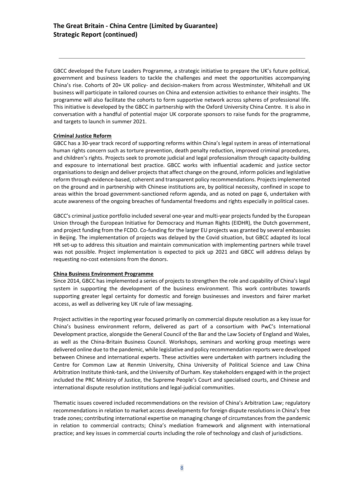GBCC developed the Future Leaders Programme, a strategic initiative to prepare the UK's future political, government and business leaders to tackle the challenges and meet the opportunities accompanying China's rise. Cohorts of 20+ UK policy- and decision-makers from across Westminster, Whitehall and UK business will participate in tailored courses on China and extension activities to enhance their insights. The programme will also facilitate the cohorts to form supportive network across spheres of professional life. This initiative is developed by the GBCC in partnership with the Oxford University China Centre. It is also in conversation with a handful of potential major UK corporate sponsors to raise funds for the programme, and targets to launch in summer 2021.

### **Criminal Justice Reform**

GBCC has a 30-year track record of supporting reforms within China's legal system in areas of international human rights concern such as torture prevention, death penalty reduction, improved criminal procedures, and children's rights. Projects seek to promote judicial and legal professionalism through capacity-building and exposure to international best practice. GBCC works with influential academic and justice sector organisations to design and deliver projects that affect change on the ground, inform policies and legislative reform through evidence-based, coherent and transparent policy recommendations. Projects implemented on the ground and in partnership with Chinese institutions are, by political necessity, confined in scope to areas within the broad government-sanctioned reform agenda, and as noted on page 6, undertaken with acute awareness of the ongoing breaches of fundamental freedoms and rights especially in political cases.

GBCC's criminal justice portfolio included several one-year and multi-year projects funded by the European Union through the European Initiative for Democracy and Human Rights (EIDHR), the Dutch government, and project funding from the FCDO. Co-funding for the larger EU projects was granted by several embassies in Beijing. The implementation of projects was delayed by the Covid situation, but GBCC adapted its local HR set-up to address this situation and maintain communication with implementing partners while travel was not possible. Project implementation is expected to pick up 2021 and GBCC will address delays by requesting no-cost extensions from the donors.

#### **China Business Environment Programme**

Since 2014, GBCC has implemented a series of projects to strengthen the role and capability of China's legal system in supporting the development of the business environment. This work contributes towards supporting greater legal certainty for domestic and foreign businesses and investors and fairer market access, as well as delivering key UK rule of law messaging.

Project activities in the reporting year focused primarily on commercial dispute resolution as a key issue for China's business environment reform, delivered as part of a consortium with PwC's International Development practice, alongside the General Council of the Bar and the Law Society of England and Wales, as well as the China-Britain Business Council. Workshops, seminars and working group meetings were delivered online due to the pandemic, while legislative and policy recommendation reports were developed between Chinese and international experts. These activities were undertaken with partners including the Centre for Common Law at Renmin University, China University of Political Science and Law China Arbitration Institute think-tank, and the University of Durham. Key stakeholders engaged with in the project included the PRC Ministry of Justice, the Supreme People's Court and specialised courts, and Chinese and international dispute resolution institutions and legal-judicial communities.

Thematic issues covered included recommendations on the revision of China's Arbitration Law; regulatory recommendations in relation to market access developments for foreign dispute resolutions in China's free trade zones; contributing international expertise on managing change of circumstances from the pandemic in relation to commercial contracts; China's mediation framework and alignment with international practice; and key issues in commercial courts including the role of technology and clash of jurisdictions.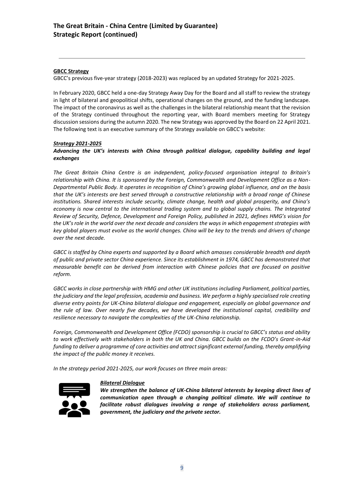## **GBCC Strategy**

GBCC's previous five-year strategy (2018-2023) was replaced by an updated Strategy for 2021-2025.

In February 2020, GBCC held a one-day Strategy Away Day for the Board and all staff to review the strategy in light of bilateral and geopolitical shifts, operational changes on the ground, and the funding landscape. The impact of the coronavirus as well as the challenges in the bilateral relationship meant that the revision of the Strategy continued throughout the reporting year, with Board members meeting for Strategy discussion sessions during the autumn 2020. The new Strategy was approved by the Board on 22 April 2021. The following text is an executive summary of the Strategy available on GBCC's website:

## *Strategy 2021-2025*

## *Advancing the UK's interests with China through political dialogue, capability building and legal exchanges*

*The Great Britain China Centre is an independent, policy-focused organisation integral to Britain's relationship with China. It is sponsored by the Foreign, Commonwealth and Development Office as a Non-Departmental Public Body. It operates in recognition of China's growing global influence, and on the basis that the UK's interests are best served through a constructive relationship with a broad range of Chinese institutions. Shared interests include security, climate change, health and global prosperity, and China's economy is now central to the international trading system and to global supply chains. The Integrated Review of Security, Defence, Development and Foreign Policy, published in 2021, defines HMG's vision for the UK's role in the world over the next decade and considers the ways in which engagement strategies with key global players must evolve as the world changes. China will be key to the trends and drivers of change over the next decade.*

*GBCC is staffed by China experts and supported by a Board which amasses considerable breadth and depth of public and private sector China experience. Since its establishment in 1974, GBCC has demonstrated that measurable benefit can be derived from interaction with Chinese policies that are focused on positive reform.*

*GBCC works in close partnership with HMG and other UK institutions including Parliament, political parties, the judiciary and the legal profession, academia and business. We perform a highly specialised role creating diverse entry points for UK-China bilateral dialogue and engagement, especially on global governance and the rule of law. Over nearly five decades, we have developed the institutional capital, credibility and resilience necessary to navigate the complexities of the UK-China relationship.* 

*Foreign, Commonwealth and Development Office (FCDO) sponsorship is crucial to GBCC's status and ability to work effectively with stakeholders in both the UK and China. GBCC builds on the FCDO's Grant-in-Aid funding to deliver a programme of core activities and attract significant external funding, thereby amplifying the impact of the public money it receives.*

*In the strategy period 2021-2025, our work focuses on three main areas:*



## *Bilateral Dialogue*

*We strengthen the balance of UK-China bilateral interests by keeping direct lines of communication open through a changing political climate. We will continue to facilitate robust dialogues involving a range of stakeholders across parliament, government, the judiciary and the private sector.*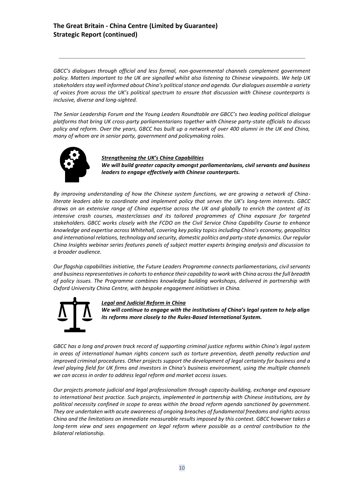## **The Great Britain - China Centre (Limited by Guarantee) Strategic Report (continued)**

*GBCC's dialogues through official and less formal, non-governmental channels complement government policy. Matters important to the UK are signalled whilst also listening to Chinese viewpoints. We help UK stakeholders stay well informed about China's political stance and agenda. Our dialogues assemble a variety of voices from across the UK's political spectrum to ensure that discussion with Chinese counterparts is inclusive, diverse and long-sighted.* 

*The Senior Leadership Forum and the Young Leaders Roundtable are GBCC's two leading political dialogue platforms that bring UK cross-party parliamentarians together with Chinese party-state officials to discuss policy and reform. Over the years, GBCC has built up a network of over 400 alumni in the UK and China, many of whom are in senior party, government and policymaking roles.*



*Strengthening the UK's China Capabilities We will build greater capacity amongst parliamentarians, civil servants and business leaders to engage effectively with Chinese counterparts.*

*By improving understanding of how the Chinese system functions, we are growing a network of China*literate leaders able to coordinate and implement policy that serves the UK's long-term interests. GBCC *draws on an extensive range of China expertise across the UK and globally to enrich the content of its intensive crash courses, masterclasses and its tailored programmes of China exposure for targeted stakeholders. GBCC works closely with the FCDO on the Civil Service China Capability Course to enhance knowledge and expertise across Whitehall, covering key policy topics including China's economy, geopolitics and international relations, technology and security, domestic politics and party-state dynamics. Our regular China Insights webinar series features panels of subject matter experts bringing analysis and discussion to a broader audience.* 

*Our flagship capabilities initiative, the Future Leaders Programme connects parliamentarians, civil servants and business representatives in cohorts to enhance their capability to work with China across the full breadth of policy issues. The Programme combines knowledge building workshops, delivered in partnership with Oxford University China Centre, with bespoke engagement initiatives in China.* 



*Legal and Judicial Reform in China*

*We will continue to engage with the institutions of China's legal system to help align its reforms more closely to the Rules-Based International System.*

*GBCC has a long and proven track record of supporting criminal justice reforms within China's legal system in areas of international human rights concern such as torture prevention, death penalty reduction and improved criminal procedures. Other projects support the development of legal certainty for business and a level playing field for UK firms and investors in China's business environment, using the multiple channels we can access in order to address legal reform and market access issues.* 

*Our projects promote judicial and legal professionalism through capacity-building, exchange and exposure to international best practice. Such projects, implemented in partnership with Chinese institutions, are by political necessity confined in scope to areas within the broad reform agenda sanctioned by government. They are undertaken with acute awareness of ongoing breaches of fundamental freedoms and rights across China and the limitations on immediate measurable results imposed by this context. GBCC however takes a long-term view and sees engagement on legal reform where possible as a central contribution to the bilateral relationship.*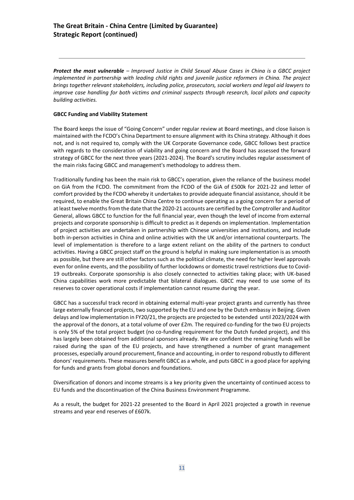*Protect the most vulnerable – Improved Justice in Child Sexual Abuse Cases in China is a GBCC project implemented in partnership with leading child rights and juvenile justice reformers in China. The project brings together relevant stakeholders, including police, prosecutors, social workers and legal aid lawyers to improve case handling for both victims and criminal suspects through research, local pilots and capacity building activities.* 

## **GBCC Funding and Viability Statement**

The Board keeps the issue of "Going Concern" under regular review at Board meetings, and close liaison is maintained with the FCDO's China Department to ensure alignment with its China strategy. Although it does not, and is not required to, comply with the UK Corporate Governance code, GBCC follows best practice with regards to the consideration of viability and going concern and the Board has assessed the forward strategy of GBCC for the next three years (2021-2024). The Board's scrutiny includes regular assessment of the main risks facing GBCC and management's methodology to address them.

Traditionally funding has been the main risk to GBCC's operation, given the reliance of the business model on GiA from the FCDO. The commitment from the FCDO of the GiA of £500k for 2021-22 and letter of comfort provided by the FCDO whereby it undertakes to provide adequate financial assistance, should it be required, to enable the Great Britain China Centre to continue operating as a going concern for a period of at least twelve months from the date that the 2020-21 accounts are certified by the Comptroller and Auditor General, allows GBCC to function for the full financial year, even though the level of income from external projects and corporate sponsorship is difficult to predict as it depends on implementation. Implementation of project activities are undertaken in partnership with Chinese universities and institutions, and include both in-person activities in China and online activities with the UK and/or international counterparts. The level of implementation is therefore to a large extent reliant on the ability of the partners to conduct activities. Having a GBCC project staff on the ground is helpful in making sure implementation is as smooth as possible, but there are still other factors such as the political climate, the need for higher level approvals even for online events, and the possibility of further lockdowns or domestic travel restrictions due to Covid-19 outbreaks. Corporate sponsorship is also closely connected to activities taking place; with UK-based China capabilities work more predictable that bilateral dialogues. GBCC may need to use some of its reserves to cover operational costs if implementation cannot resume during the year.

GBCC has a successful track record in obtaining external multi-year project grants and currently has three large externally financed projects, two supported by the EU and one by the Dutch embassy in Beijing. Given delays and low implementation in FY20/21, the projects are projected to be extended until 2023/2024 with the approval of the donors, at a total volume of over £2m. The required co-funding for the two EU projects is only 5% of the total project budget (no co-funding requirement for the Dutch funded project), and this has largely been obtained from additional sponsors already. We are confident the remaining funds will be raised during the span of the EU projects, and have strengthened a number of grant management processes, especially around procurement, finance and accounting, in order to respond robustly to different donors' requirements. These measures benefit GBCC as a whole, and puts GBCC in a good place for applying for funds and grants from global donors and foundations.

Diversification of donors and income streams is a key priority given the uncertainty of continued access to EU funds and the discontinuation of the China Business Environment Programme.

As a result, the budget for 2021-22 presented to the Board in April 2021 projected a growth in revenue streams and year end reserves of £607k.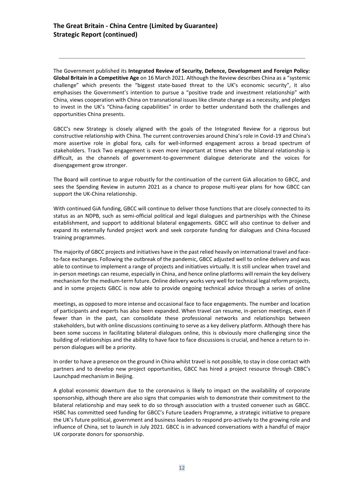The Government published its **Integrated Review of Security, Defence, Development and Foreign Policy: Global Britain in a Competitive Age** on 16 March 2021. Although the Review describes China as a "systemic challenge" which presents the "biggest state-based threat to the UK's economic security", it also emphasises the Government's intention to pursue a "positive trade and investment relationship" with China, views cooperation with China on transnational issues like climate change as a necessity, and pledges to invest in the UK's "China-facing capabilities" in order to better understand both the challenges and opportunities China presents.

GBCC's new Strategy is closely aligned with the goals of the Integrated Review for a rigorous but constructive relationship with China. The current controversies around China's role in Covid-19 and China's more assertive role in global fora, calls for well-informed engagement across a broad spectrum of stakeholders. Track Two engagement is even more important at times when the bilateral relationship is difficult, as the channels of government-to-government dialogue deteriorate and the voices for disengagement grow stronger.

The Board will continue to argue robustly for the continuation of the current GiA allocation to GBCC, and sees the Spending Review in autumn 2021 as a chance to propose multi-year plans for how GBCC can support the UK-China relationship.

With continued GiA funding, GBCC will continue to deliver those functions that are closely connected to its status as an NDPB, such as semi-official political and legal dialogues and partnerships with the Chinese establishment, and support to additional bilateral engagements. GBCC will also continue to deliver and expand its externally funded project work and seek corporate funding for dialogues and China-focused training programmes.

The majority of GBCC projects and initiatives have in the past relied heavily on international travel and faceto-face exchanges. Following the outbreak of the pandemic, GBCC adjusted well to online delivery and was able to continue to implement a range of projects and initiatives virtually. It is still unclear when travel and in-person meetings can resume, especially in China, and hence online platforms will remain the key delivery mechanism for the medium-term future. Online delivery works very well for technical legal reform projects, and in some projects GBCC is now able to provide ongoing technical advice through a series of online

meetings, as opposed to more intense and occasional face to face engagements. The number and location of participants and experts has also been expanded. When travel can resume, in-person meetings, even if fewer than in the past, can consolidate these professional networks and relationships between stakeholders, but with online discussions continuing to serve as a key delivery platform. Although there has been some success in facilitating bilateral dialogues online, this is obviously more challenging since the building of relationships and the ability to have face to face discussions is crucial, and hence a return to inperson dialogues will be a priority.

In order to have a presence on the ground in China whilst travel is not possible, to stay in close contact with partners and to develop new project opportunities, GBCC has hired a project resource through CBBC's Launchpad mechanism in Beijing.

A global economic downturn due to the coronavirus is likely to impact on the availability of corporate sponsorship, although there are also signs that companies wish to demonstrate their commitment to the bilateral relationship and may seek to do so through association with a trusted convener such as GBCC. HSBC has committed seed funding for GBCC's Future Leaders Programme, a strategic initiative to prepare the UK's future political, government and business leaders to respond pro-actively to the growing role and influence of China, set to launch in July 2021. GBCC is in advanced conversations with a handful of major UK corporate donors for sponsorship.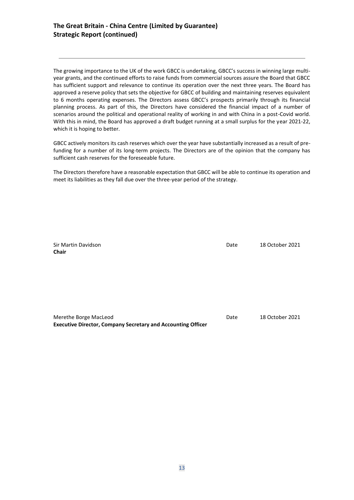The growing importance to the UK of the work GBCC is undertaking, GBCC's success in winning large multiyear grants, and the continued efforts to raise funds from commercial sources assure the Board that GBCC has sufficient support and relevance to continue its operation over the next three years. The Board has approved a reserve policy that sets the objective for GBCC of building and maintaining reserves equivalent to 6 months operating expenses. The Directors assess GBCC's prospects primarily through its financial planning process. As part of this, the Directors have considered the financial impact of a number of scenarios around the political and operational reality of working in and with China in a post-Covid world. With this in mind, the Board has approved a draft budget running at a small surplus for the year 2021-22, which it is hoping to better.

GBCC actively monitors its cash reserves which over the year have substantially increased as a result of prefunding for a number of its long-term projects. The Directors are of the opinion that the company has sufficient cash reserves for the foreseeable future.

The Directors therefore have a reasonable expectation that GBCC will be able to continue its operation and meet its liabilities as they fall due over the three-year period of the strategy.

**Chair**

Sir Martin Davidson Date 18 October 2021

| Merethe Borge MacLeod                                               | Date | 18 October 2021 |
|---------------------------------------------------------------------|------|-----------------|
| <b>Executive Director, Company Secretary and Accounting Officer</b> |      |                 |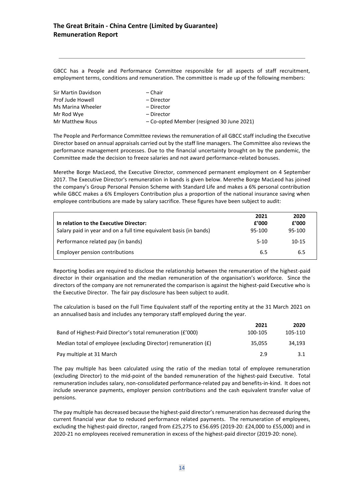GBCC has a People and Performance Committee responsible for all aspects of staff recruitment, employment terms, conditions and remuneration. The committee is made up of the following members:

| Sir Martin Davidson | – Chair                                   |
|---------------------|-------------------------------------------|
| Prof Jude Howell    | – Director                                |
| Ms Marina Wheeler   | – Director                                |
| Mr Rod Wye          | – Director                                |
| Mr Matthew Rous     | - Co-opted Member (resigned 30 June 2021) |

The People and Performance Committee reviews the remuneration of all GBCC staff including the Executive Director based on annual appraisals carried out by the staff line managers. The Committee also reviews the performance management processes. Due to the financial uncertainty brought on by the pandemic, the Committee made the decision to freeze salaries and not award performance-related bonuses.

Merethe Borge MacLeod, the Executive Director, commenced permanent employment on 4 September 2017. The Executive Director's remuneration in bands is given below. Merethe Borge MacLeod has joined the company's Group Personal Pension Scheme with Standard Life and makes a 6% personal contribution while GBCC makes a 6% Employers Contribution plus a proportion of the national insurance saving when employee contributions are made by salary sacrifice. These figures have been subject to audit:

|                                                                    | 2021   | 2020      |
|--------------------------------------------------------------------|--------|-----------|
| In relation to the Executive Director:                             | f'000  | f'000     |
| Salary paid in year and on a full time equivalent basis (in bands) | 95-100 | 95-100    |
| Performance related pay (in bands)                                 | $5-10$ | $10 - 15$ |
| Employer pension contributions                                     | 6.5    | 6.5       |

Reporting bodies are required to disclose the relationship between the remuneration of the highest-paid director in their organisation and the median remuneration of the organisation's workforce. Since the directors of the company are not remunerated the comparison is against the highest-paid Executive who is the Executive Director. The fair pay disclosure has been subject to audit.

The calculation is based on the Full Time Equivalent staff of the reporting entity at the 31 March 2021 on an annualised basis and includes any temporary staff employed during the year.

|                                                                | 2021    | 2020    |
|----------------------------------------------------------------|---------|---------|
| Band of Highest-Paid Director's total remuneration (£'000)     | 100-105 | 105-110 |
| Median total of employee (excluding Director) remuneration (£) | 35.055  | 34.193  |
| Pay multiple at 31 March                                       | 29      | 3.1     |

The pay multiple has been calculated using the ratio of the median total of employee remuneration (excluding Director) to the mid-point of the banded remuneration of the highest-paid Executive. Total remuneration includes salary, non-consolidated performance-related pay and benefits-in-kind. It does not include severance payments, employer pension contributions and the cash equivalent transfer value of pensions.

The pay multiple has decreased because the highest-paid director's remuneration has decreased during the current financial year due to reduced performance related payments. The remuneration of employees, excluding the highest-paid director, ranged from £25,275 to £56.695 (2019-20: £24,000 to £55,000) and in 2020-21 no employees received remuneration in excess of the highest-paid director (2019-20: none).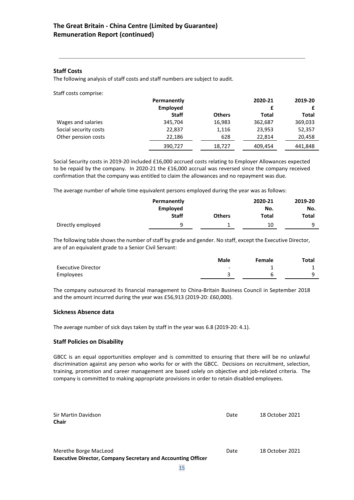## **Staff Costs**

The following analysis of staff costs and staff numbers are subject to audit.

Staff costs comprise:

|                       | Permanently  | 2020-21       |         |         |  | 2019-20 |
|-----------------------|--------------|---------------|---------|---------|--|---------|
|                       | Employed     |               |         |         |  |         |
|                       | <b>Staff</b> | <b>Others</b> | Total   | Total   |  |         |
| Wages and salaries    | 345,704      | 16,983        | 362,687 | 369,033 |  |         |
| Social security costs | 22,837       | 1,116         | 23,953  | 52,357  |  |         |
| Other pension costs   | 22,186       | 628           | 22.814  | 20,458  |  |         |
|                       | 390,727      | 18,727        | 409,454 | 441,848 |  |         |

Social Security costs in 2019-20 included £16,000 accrued costs relating to Employer Allowances expected to be repaid by the company. In 2020-21 the £16,000 accrual was reversed since the company received confirmation that the company was entitled to claim the allowances and no repayment was due.

The average number of whole time equivalent persons employed during the year was as follows:

| Permanently<br>Employed |              |               |              | 2019-20<br>No. |
|-------------------------|--------------|---------------|--------------|----------------|
|                         | <b>Staff</b> | <b>Others</b> | No.<br>Total | Total          |
| Directly employed       | q            |               | 10           | q              |

The following table shows the number of staff by grade and gender. No staff, except the Executive Director, are of an equivalent grade to a Senior Civil Servant:

|                           | <b>Male</b>              | Female | Total |
|---------------------------|--------------------------|--------|-------|
| <b>Executive Director</b> | $\overline{\phantom{0}}$ |        |       |
| Employees                 |                          |        |       |

The company outsourced its financial management to China-Britain Business Council in September 2018 and the amount incurred during the year was £56,913 (2019-20: £60,000).

## **Sickness Absence data**

The average number of sick days taken by staff in the year was 6.8 (2019-20: 4.1).

## **Staff Policies on Disability**

GBCC is an equal opportunities employer and is committed to ensuring that there will be no unlawful discrimination against any person who works for or with the GBCC. Decisions on recruitment, selection, training, promotion and career management are based solely on objective and job-related criteria. The company is committed to making appropriate provisions in order to retain disabled employees.

| Sir Martin Davidson<br><b>Chair</b>                                                          | Date | 18 October 2021 |
|----------------------------------------------------------------------------------------------|------|-----------------|
| Merethe Borge MacLeod<br><b>Executive Director, Company Secretary and Accounting Officer</b> | Date | 18 October 2021 |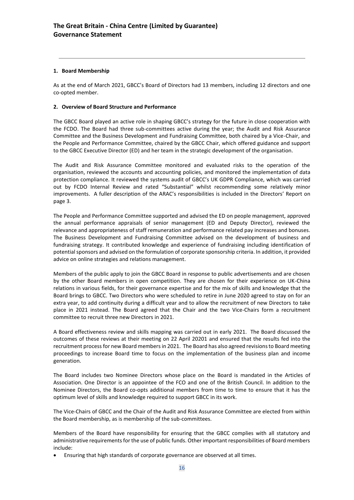## **1. Board Membership**

As at the end of March 2021, GBCC's Board of Directors had 13 members, including 12 directors and one co-opted member.

## **2. Overview of Board Structure and Performance**

The GBCC Board played an active role in shaping GBCC's strategy for the future in close cooperation with the FCDO. The Board had three sub-committees active during the year; the Audit and Risk Assurance Committee and the Business Development and Fundraising Committee, both chaired by a Vice-Chair, and the People and Performance Committee, chaired by the GBCC Chair, which offered guidance and support to the GBCC Executive Director (ED) and her team in the strategic development of the organisation.

The Audit and Risk Assurance Committee monitored and evaluated risks to the operation of the organisation, reviewed the accounts and accounting policies, and monitored the implementation of data protection compliance. It reviewed the systems audit of GBCC's UK GDPR Compliance, which was carried out by FCDO Internal Review and rated "Substantial" whilst recommending some relatively minor improvements. A fuller description of the ARAC's responsibilities is included in the Directors' Report on page 3.

The People and Performance Committee supported and advised the ED on people management, approved the annual performance appraisals of senior management (ED and Deputy Director), reviewed the relevance and appropriateness of staff remuneration and performance related pay increases and bonuses. The Business Development and Fundraising Committee advised on the development of business and fundraising strategy. It contributed knowledge and experience of fundraising including identification of potential sponsors and advised on the formulation of corporate sponsorship criteria. In addition, it provided advice on online strategies and relations management.

Members of the public apply to join the GBCC Board in response to public advertisements and are chosen by the other Board members in open competition. They are chosen for their experience on UK-China relations in various fields, for their governance expertise and for the mix of skills and knowledge that the Board brings to GBCC. Two Directors who were scheduled to retire in June 2020 agreed to stay on for an extra year, to add continuity during a difficult year and to allow the recruitment of new Directors to take place in 2021 instead. The Board agreed that the Chair and the two Vice-Chairs form a recruitment committee to recruit three new Directors in 2021.

A Board effectiveness review and skills mapping was carried out in early 2021. The Board discussed the outcomes of these reviews at their meeting on 22 April 20201 and ensured that the results fed into the recruitment processfor new Board members in 2021. The Board has also agreed revisions to Board meeting proceedings to increase Board time to focus on the implementation of the business plan and income generation.

The Board includes two Nominee Directors whose place on the Board is mandated in the Articles of Association. One Director is an appointee of the FCO and one of the British Council. In addition to the Nominee Directors, the Board co-opts additional members from time to time to ensure that it has the optimum level of skills and knowledge required to support GBCC in its work.

The Vice-Chairs of GBCC and the Chair of the Audit and Risk Assurance Committee are elected from within the Board membership, as is membership of the sub-committees.

Members of the Board have responsibility for ensuring that the GBCC complies with all statutory and administrative requirements for the use of public funds. Other important responsibilities of Board members include:

• Ensuring that high standards of corporate governance are observed at all times.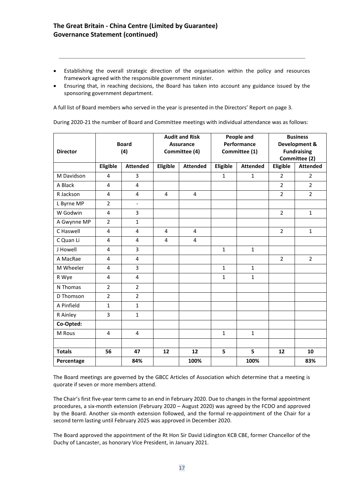- Establishing the overall strategic direction of the organisation within the policy and resources framework agreed with the responsible government minister.
- Ensuring that, in reaching decisions, the Board has taken into account any guidance issued by the sponsoring government department.

A full list of Board members who served in the year is presented in the Directors' Report on page 3.

During 2020-21 the number of Board and Committee meetings with individual attendance was as follows:

| <b>Director</b> |                | <b>Board</b><br>(4) |                | <b>Audit and Risk</b><br><b>Assurance</b><br>Committee (4) |                 | People and<br>Performance<br>Committee (1) |                | <b>Business</b><br>Development &<br><b>Fundraising</b><br>Committee (2) |
|-----------------|----------------|---------------------|----------------|------------------------------------------------------------|-----------------|--------------------------------------------|----------------|-------------------------------------------------------------------------|
|                 | Eligible       | <b>Attended</b>     | Eligible       | <b>Attended</b>                                            | <b>Eligible</b> | <b>Attended</b>                            | Eligible       | <b>Attended</b>                                                         |
| M Davidson      | $\overline{4}$ | 3                   |                |                                                            | $\mathbf{1}$    | $\mathbf{1}$                               | $\overline{2}$ | $\overline{2}$                                                          |
| A Black         | $\overline{4}$ | 4                   |                |                                                            |                 |                                            | $\overline{2}$ | $\overline{2}$                                                          |
| R Jackson       | $\overline{4}$ | 4                   | 4              | 4                                                          |                 |                                            | $\overline{2}$ | $\overline{2}$                                                          |
| L Byrne MP      | $\overline{2}$ | $\frac{1}{2}$       |                |                                                            |                 |                                            |                |                                                                         |
| W Godwin        | $\overline{4}$ | 3                   |                |                                                            |                 |                                            | $\overline{2}$ | $\mathbf{1}$                                                            |
| A Gwynne MP     | $\overline{2}$ | $\mathbf{1}$        |                |                                                            |                 |                                            |                |                                                                         |
| C Haswell       | 4              | 4                   | $\overline{4}$ | $\overline{4}$                                             |                 |                                            | $\overline{2}$ | $\mathbf{1}$                                                            |
| C Quan Li       | $\overline{4}$ | 4                   | 4              | $\overline{4}$                                             |                 |                                            |                |                                                                         |
| J Howell        | 4              | 3                   |                |                                                            | $\mathbf{1}$    | $\mathbf{1}$                               |                |                                                                         |
| A MacRae        | 4              | 4                   |                |                                                            |                 |                                            | $\overline{2}$ | $\overline{2}$                                                          |
| M Wheeler       | 4              | 3                   |                |                                                            | $\mathbf{1}$    | $\mathbf{1}$                               |                |                                                                         |
| R Wye           | 4              | 4                   |                |                                                            | $\mathbf{1}$    | $\mathbf{1}$                               |                |                                                                         |
| N Thomas        | $\overline{2}$ | $\overline{2}$      |                |                                                            |                 |                                            |                |                                                                         |
| D Thomson       | $\overline{2}$ | $\overline{2}$      |                |                                                            |                 |                                            |                |                                                                         |
| A Pinfield      | $\mathbf{1}$   | $\mathbf{1}$        |                |                                                            |                 |                                            |                |                                                                         |
| R Ainley        | $\overline{3}$ | $\mathbf{1}$        |                |                                                            |                 |                                            |                |                                                                         |
| Co-Opted:       |                |                     |                |                                                            |                 |                                            |                |                                                                         |
| M Rous          | $\overline{4}$ | $\overline{4}$      |                |                                                            | $\mathbf{1}$    | $\mathbf{1}$                               |                |                                                                         |
| <b>Totals</b>   | 56             | 47                  | 12             | 12                                                         | 5               | 5                                          | 12             | 10                                                                      |
| Percentage      |                | 84%                 |                | 100%                                                       |                 | 100%                                       |                | 83%                                                                     |

The Board meetings are governed by the GBCC Articles of Association which determine that a meeting is quorate if seven or more members attend.

The Chair's first five-year term came to an end in February 2020. Due to changes in the formal appointment procedures, a six-month extension (February 2020 – August 2020) was agreed by the FCDO and approved by the Board. Another six-month extension followed, and the formal re-appointment of the Chair for a second term lasting until February 2025 was approved in December 2020.

The Board approved the appointment of the Rt Hon Sir David Lidington KCB CBE, former Chancellor of the Duchy of Lancaster, as honorary Vice President, in January 2021.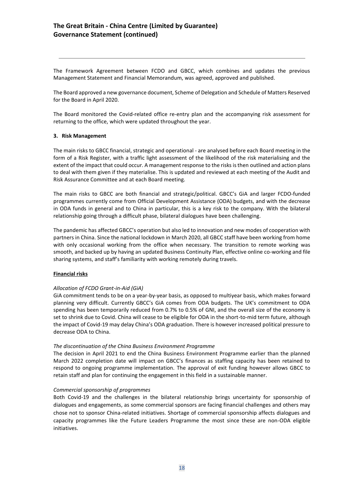The Framework Agreement between FCDO and GBCC, which combines and updates the previous Management Statement and Financial Memorandum, was agreed, approved and published.

The Board approved a new governance document, Scheme of Delegation and Schedule of Matters Reserved for the Board in April 2020.

The Board monitored the Covid-related office re-entry plan and the accompanying risk assessment for returning to the office, which were updated throughout the year.

### **3. Risk Management**

The main risks to GBCC financial, strategic and operational - are analysed before each Board meeting in the form of a Risk Register, with a traffic light assessment of the likelihood of the risk materialising and the extent of the impact that could occur. A management response to the risks is then outlined and action plans to deal with them given if they materialise. This is updated and reviewed at each meeting of the Audit and Risk Assurance Committee and at each Board meeting.

The main risks to GBCC are both financial and strategic/political. GBCC's GiA and larger FCDO-funded programmes currently come from Official Development Assistance (ODA) budgets, and with the decrease in ODA funds in general and to China in particular, this is a key risk to the company. With the bilateral relationship going through a difficult phase, bilateral dialogues have been challenging.

The pandemic has affected GBCC's operation but also led to innovation and new modes of cooperation with partners in China. Since the national lockdown in March 2020, all GBCC staff have been working from home with only occasional working from the office when necessary. The transition to remote working was smooth, and backed up by having an updated Business Continuity Plan, effective online co-working and file sharing systems, and staff's familiarity with working remotely during travels.

## **Financial risks**

## *Allocation of FCDO Grant-in-Aid (GiA)*

GiA commitment tends to be on a year-by-year basis, as opposed to multiyear basis, which makes forward planning very difficult. Currently GBCC's GiA comes from ODA budgets. The UK's commitment to ODA spending has been temporarily reduced from 0.7% to 0.5% of GNI, and the overall size of the economy is set to shrink due to Covid. China will cease to be eligible for ODA in the short-to-mid term future, although the impact of Covid-19 may delay China's ODA graduation. There is however increased political pressure to decrease ODA to China.

## *The discontinuation of the China Business Environment Programme*

The decision in April 2021 to end the China Business Environment Programme earlier than the planned March 2022 completion date will impact on GBCC's finances as staffing capacity has been retained to respond to ongoing programme implementation. The approval of exit funding however allows GBCC to retain staff and plan for continuing the engagement in this field in a sustainable manner.

#### *Commercial sponsorship of programmes*

Both Covid-19 and the challenges in the bilateral relationship brings uncertainty for sponsorship of dialogues and engagements, as some commercial sponsors are facing financial challenges and others may chose not to sponsor China-related initiatives. Shortage of commercial sponsorship affects dialogues and capacity programmes like the Future Leaders Programme the most since these are non-ODA eligible initiatives.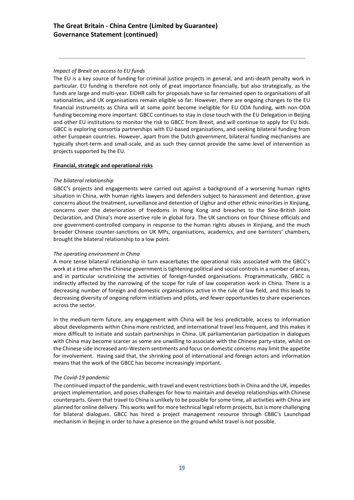## *Impact of Brexit on access to EU funds*

The EU is a key source of funding for criminal justice projects in general, and anti-death penalty work in particular. EU funding is therefore not only of great importance financially, but also strategically, as the funds are large and multi-year. EIDHR calls for proposals have so far remained open to organisations of all nationalities, and UK organisations remain eligible so far. However, there are ongoing changes to the EU financial instruments as China will at some point become ineligible for EU ODA funding, with non-ODA funding becoming more important. GBCC continues to stay in close touch with the EU Delegation in Beijing and other EU institutions to monitor the risk to GBCC from Brexit, and will continue to apply for EU bids. GBCC is exploring consortia partnerships with EU-based organisations, and seeking bilateral funding from other European countries. However, apart from the Dutch government, bilateral funding mechanisms are typically short-term and small-scale, and as such they cannot provide the same level of intervention as projects supported by the EU.

## **Financial, strategic and operational risks**

## *The bilateral relationship*

GBCC's projects and engagements were carried out against a background of a worsening human rights situation in China, with human rights lawyers and defenders subject to harassment and detention, grave concerns about the treatment, surveillance and detention of Uighur and other ethnic minorities in Xinjiang, concerns over the deterioration of freedoms in Hong Kong and breaches to the Sino-British Joint Declaration, and China's more assertive role in global fora. The UK sanctions on four Chinese officials and one government-controlled company in response to the human rights abuses in Xinjiang, and the much broader Chinese counter-sanctions on UK MPs, organisations, academics, and one barristers' chambers, brought the bilateral relationship to a low point.

## *The operating environment in China*

A more tense bilateral relationship in turn exacerbates the operational risks associated with the GBCC's work at a time when the Chinese government is tightening political and social controls in a number of areas, and in particular scrutinizing the activities of foreign-funded organisations. Programmatically, GBCC is indirectly affected by the narrowing of the scope for rule of law cooperation work in China. There is a decreasing number of foreign and domestic organisations active in the rule of law field, and this leads to decreasing diversity of ongoing reform initiatives and pilots, and fewer opportunities to share experiences across the sector.

In the medium-term future, any engagement with China will be less predictable, access to information about developments within China more restricted, and international travel less frequent, and this makes it more difficult to initiate and sustain partnerships in China. UK parliamentarian participation in dialogues with China may become scarcer as some are unwilling to associate with the Chinese party-state, whilst on the Chinese side increased anti-Western sentiments and focus on domestic concerns may limit the appetite for involvement. Having said that, the shrinking pool of international and foreign actors and information means that the work of the GBCC has become increasingly important.

## *The Covid-19 pandemic*

The continued impact of the pandemic, with travel and event restrictions both in China and the UK, impedes project implementation, and poses challenges for how to maintain and develop relationships with Chinese counterparts. Given that travel to China is unlikely to be possible for some time, all activities with China are planned for online delivery. This works well for more technical legal reform projects, but is more challenging for bilateral dialogues. GBCC has hired a project management resource through CBBC's Launchpad mechanism in Beijing in order to have a presence on the ground whilst travel is not possible.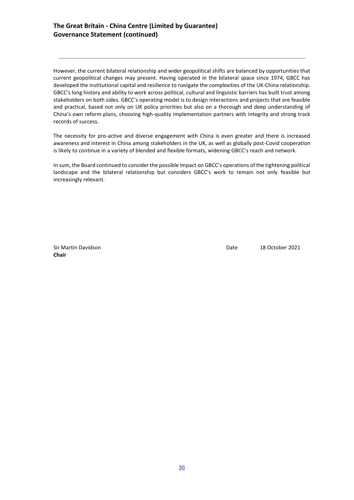## **The Great Britain - China Centre (Limited by Guarantee) Governance Statement (continued)**

However, the current bilateral relationship and wider geopolitical shifts are balanced by opportunities that current geopolitical changes may present. Having operated in the bilateral space since 1974, GBCC has developed the institutional capital and resilience to navigate the complexities of the UK-China relationship. GBCC's long history and ability to work across political, cultural and linguistic barriers has built trust among stakeholders on both sides. GBCC's operating model is to design interactions and projects that are feasible and practical, based not only on UK policy priorities but also on a thorough and deep understanding of China's own reform plans, choosing high-quality implementation partners with integrity and strong track records of success.

The necessity for pro-active and diverse engagement with China is even greater and there is increased awareness and interest in China among stakeholders in the UK, as well as globally post-Covid cooperation is likely to continue in a variety of blended and flexible formats, widening GBCC's reach and network.

In sum, the Board continued to consider the possible impact on GBCC's operations of the tightening political landscape and the bilateral relationship but considers GBCC's work to remain not only feasible but increasingly relevant.

**Chair**

Sir Martin Davidson Date 18 October 2021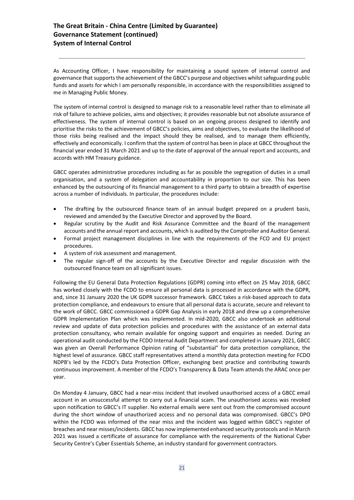As Accounting Officer, I have responsibility for maintaining a sound system of internal control and governance that supports the achievement of the GBCC's purpose and objectives whilst safeguarding public funds and assets for which I am personally responsible, in accordance with the responsibilities assigned to me in Managing Public Money.

The system of internal control is designed to manage risk to a reasonable level rather than to eliminate all risk of failure to achieve policies, aims and objectives; it provides reasonable but not absolute assurance of effectiveness. The system of internal control is based on an ongoing process designed to identify and prioritise the risks to the achievement of GBCC's policies, aims and objectives, to evaluate the likelihood of those risks being realised and the impact should they be realised, and to manage them efficiently, effectively and economically. I confirm that the system of control has been in place at GBCC throughout the financial year ended 31 March 2021 and up to the date of approval of the annual report and accounts, and accords with HM Treasury guidance.

GBCC operates administrative procedures including as far as possible the segregation of duties in a small organisation, and a system of delegation and accountability in proportion to our size. This has been enhanced by the outsourcing of its financial management to a third party to obtain a breadth of expertise across a number of individuals. In particular, the procedures include:

- The drafting by the outsourced finance team of an annual budget prepared on a prudent basis, reviewed and amended by the Executive Director and approved by the Board.
- Regular scrutiny by the Audit and Risk Assurance Committee and the Board of the management accounts and the annual report and accounts, which is audited by the Comptroller and Auditor General.
- Formal project management disciplines in line with the requirements of the FCO and EU project procedures.
- A system of risk assessment and management.
- The regular sign-off of the accounts by the Executive Director and regular discussion with the outsourced finance team on all significant issues.

Following the EU General Data Protection Regulations (GDPR) coming into effect on 25 May 2018, GBCC has worked closely with the FCDO to ensure all personal data is processed in accordance with the GDPR, and, since 31 January 2020 the UK GDPR successor framework. GBCC takes a risk-based approach to data protection compliance, and endeavours to ensure that all personal data is accurate, secure and relevant to the work of GBCC. GBCC commissioned a GDPR Gap Analysis in early 2018 and drew up a comprehensive GDPR Implementation Plan which was implemented. In mid-2020, GBCC also undertook an additional review and update of data protection policies and procedures with the assistance of an external data protection consultancy, who remain available for ongoing support and enquiries as needed. During an operational audit conducted by the FCDO Internal Audit Department and completed in January 2021, GBCC was given an Overall Performance Opinion rating of "substantial" for data protection compliance, the highest level of assurance. GBCC staff representatives attend a monthly data protection meeting for FCDO NDPB's led by the FCDO's Data Protection Officer, exchanging best practice and contributing towards continuous improvement. A member of the FCDO's Transparency & Data Team attends the ARAC once per year.

On Monday 4 January, GBCC had a near-miss incident that involved unauthorised access of a GBCC email account in an unsuccessful attempt to carry out a financial scam. The unauthorised access was revoked upon notification to GBCC's IT supplier. No external emails were sent out from the compromised account during the short window of unauthorized access and no personal data was compromised. GBCC's DPO within the FCDO was informed of the near miss and the incident was logged within GBCC's register of breaches and near misses/incidents. GBCC has now implemented enhanced security protocols and in March 2021 was issued a certificate of assurance for compliance with the requirements of the National Cyber Security Centre's Cyber Essentials Scheme, an industry standard for government contractors.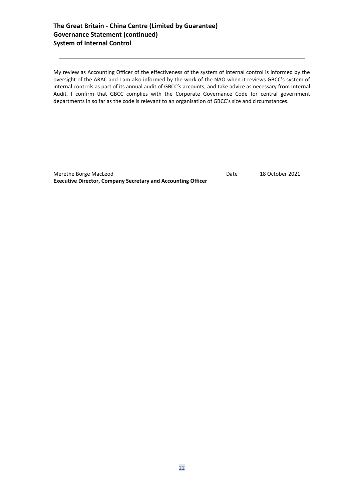## **The Great Britain - China Centre (Limited by Guarantee) Governance Statement (continued) System of Internal Control**

My review as Accounting Officer of the effectiveness of the system of internal control is informed by the oversight of the ARAC and I am also informed by the work of the NAO when it reviews GBCC's system of internal controls as part of its annual audit of GBCC's accounts, and take advice as necessary from Internal Audit. I confirm that GBCC complies with the Corporate Governance Code for central government departments in so far as the code is relevant to an organisation of GBCC's size and circumstances.

Merethe Borge MacLeod **Date** 18 October 2021 **Executive Director, Company Secretary and Accounting Officer**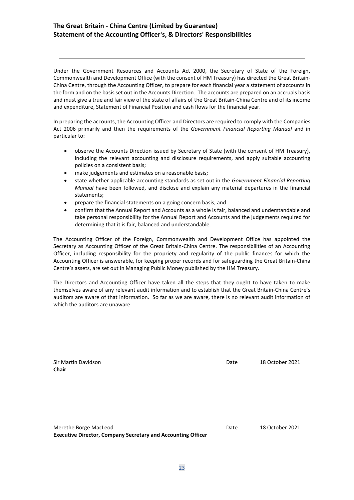## **The Great Britain - China Centre (Limited by Guarantee) Statement of the Accounting Officer's, & Directors' Responsibilities**

Under the Government Resources and Accounts Act 2000, the Secretary of State of the Foreign, Commonwealth and Development Office (with the consent of HM Treasury) has directed the Great Britain-China Centre, through the Accounting Officer, to prepare for each financial year a statement of accounts in the form and on the basis set out in the Accounts Direction. The accounts are prepared on an accruals basis and must give a true and fair view of the state of affairs of the Great Britain-China Centre and of its income and expenditure, Statement of Financial Position and cash flows for the financial year.

In preparing the accounts, the Accounting Officer and Directors are required to comply with the Companies Act 2006 primarily and then the requirements of the *Government Financial Reporting Manual* and in particular to:

- observe the Accounts Direction issued by Secretary of State (with the consent of HM Treasury), including the relevant accounting and disclosure requirements, and apply suitable accounting policies on a consistent basis;
- make judgements and estimates on a reasonable basis;
- state whether applicable accounting standards as set out in the *Government Financial Reporting Manual* have been followed, and disclose and explain any material departures in the financial statements;
- prepare the financial statements on a going concern basis; and
- confirm that the Annual Report and Accounts as a whole is fair, balanced and understandable and take personal responsibility for the Annual Report and Accounts and the judgements required for determining that it is fair, balanced and understandable.

The Accounting Officer of the Foreign, Commonwealth and Development Office has appointed the Secretary as Accounting Officer of the Great Britain-China Centre. The responsibilities of an Accounting Officer, including responsibility for the propriety and regularity of the public finances for which the Accounting Officer is answerable, for keeping proper records and for safeguarding the Great Britain-China Centre's assets, are set out in Managing Public Money published by the HM Treasury.

The Directors and Accounting Officer have taken all the steps that they ought to have taken to make themselves aware of any relevant audit information and to establish that the Great Britain-China Centre's auditors are aware of that information. So far as we are aware, there is no relevant audit information of which the auditors are unaware.

| Sir Martin Davidson<br>Chair | Date | 18 October 2021 |
|------------------------------|------|-----------------|
|                              |      |                 |
|                              |      |                 |
| Merethe Borge MacLeod        | Date | 18 October 2021 |

**Executive Director, Company Secretary and Accounting Officer**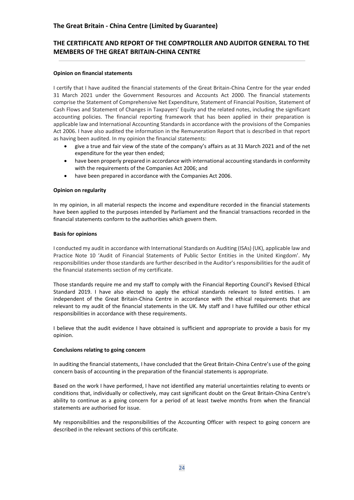## **THE CERTIFICATE AND REPORT OF THE COMPTROLLER AND AUDITOR GENERAL TO THE MEMBERS OF THE GREAT BRITAIN-CHINA CENTRE**

## **Opinion on financial statements**

I certify that I have audited the financial statements of the Great Britain-China Centre for the year ended 31 March 2021 under the Government Resources and Accounts Act 2000. The financial statements comprise the Statement of Comprehensive Net Expenditure, Statement of Financial Position, Statement of Cash Flows and Statement of Changes in Taxpayers' Equity and the related notes, including the significant accounting policies. The financial reporting framework that has been applied in their preparation is applicable law and International Accounting Standards in accordance with the provisions of the Companies Act 2006. I have also audited the information in the Remuneration Report that is described in that report as having been audited. In my opinion the financial statements:

- give a true and fair view of the state of the company's affairs as at 31 March 2021 and of the net expenditure for the year then ended;
- have been properly prepared in accordance with international accounting standards in conformity with the requirements of the Companies Act 2006; and
- have been prepared in accordance with the Companies Act 2006.

## **Opinion on regularity**

In my opinion, in all material respects the income and expenditure recorded in the financial statements have been applied to the purposes intended by Parliament and the financial transactions recorded in the financial statements conform to the authorities which govern them.

## **Basis for opinions**

I conducted my audit in accordance with International Standards on Auditing (ISAs) (UK), applicable law and Practice Note 10 'Audit of Financial Statements of Public Sector Entities in the United Kingdom'. My responsibilities under those standards are further described in the Auditor's responsibilities for the audit of the financial statements section of my certificate.

Those standards require me and my staff to comply with the Financial Reporting Council's Revised Ethical Standard 2019. I have also elected to apply the ethical standards relevant to listed entities. I am independent of the Great Britain-China Centre in accordance with the ethical requirements that are relevant to my audit of the financial statements in the UK. My staff and I have fulfilled our other ethical responsibilities in accordance with these requirements.

I believe that the audit evidence I have obtained is sufficient and appropriate to provide a basis for my opinion.

## **Conclusions relating to going concern**

In auditing the financial statements, I have concluded that the Great Britain-China Centre's use of the going concern basis of accounting in the preparation of the financial statements is appropriate.

Based on the work I have performed, I have not identified any material uncertainties relating to events or conditions that, individually or collectively, may cast significant doubt on the Great Britain-China Centre's ability to continue as a going concern for a period of at least twelve months from when the financial statements are authorised for issue.

My responsibilities and the responsibilities of the Accounting Officer with respect to going concern are described in the relevant sections of this certificate.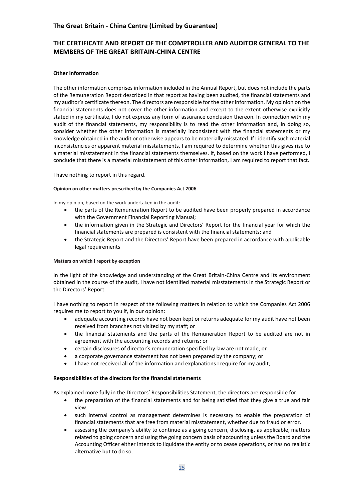## **THE CERTIFICATE AND REPORT OF THE COMPTROLLER AND AUDITOR GENERAL TO THE MEMBERS OF THE GREAT BRITAIN-CHINA CENTRE**

## **Other Information**

The other information comprises information included in the Annual Report, but does not include the parts of the Remuneration Report described in that report as having been audited, the financial statements and my auditor's certificate thereon. The directors are responsible for the other information. My opinion on the financial statements does not cover the other information and except to the extent otherwise explicitly stated in my certificate, I do not express any form of assurance conclusion thereon. In connection with my audit of the financial statements, my responsibility is to read the other information and, in doing so, consider whether the other information is materially inconsistent with the financial statements or my knowledge obtained in the audit or otherwise appears to be materially misstated. If I identify such material inconsistencies or apparent material misstatements, I am required to determine whether this gives rise to a material misstatement in the financial statements themselves. If, based on the work I have performed, I conclude that there is a material misstatement of this other information, I am required to report that fact.

I have nothing to report in this regard.

## **Opinion on other matters prescribed by the Companies Act 2006**

In my opinion, based on the work undertaken in the audit:

- the parts of the Remuneration Report to be audited have been properly prepared in accordance with the Government Financial Reporting Manual;
- the information given in the Strategic and Directors' Report for the financial year for which the financial statements are prepared is consistent with the financial statements; and
- the Strategic Report and the Directors' Report have been prepared in accordance with applicable legal requirements

## **Matters on which I report by exception**

In the light of the knowledge and understanding of the Great Britain-China Centre and its environment obtained in the course of the audit, I have not identified material misstatements in the Strategic Report or the Directors' Report.

I have nothing to report in respect of the following matters in relation to which the Companies Act 2006 requires me to report to you if, in our opinion:

- adequate accounting records have not been kept or returns adequate for my audit have not been received from branches not visited by my staff; or
- the financial statements and the parts of the Remuneration Report to be audited are not in agreement with the accounting records and returns; or
- certain disclosures of director's remuneration specified by law are not made; or
- a corporate governance statement has not been prepared by the company; or
- I have not received all of the information and explanations I require for my audit;

## **Responsibilities of the directors for the financial statements**

As explained more fully in the Directors' Responsibilities Statement, the directors are responsible for:

- the preparation of the financial statements and for being satisfied that they give a true and fair view.
- such internal control as management determines is necessary to enable the preparation of financial statements that are free from material misstatement, whether due to fraud or error.
- assessing the company's ability to continue as a going concern, disclosing, as applicable, matters related to going concern and using the going concern basis of accounting unless the Board and the Accounting Officer either intends to liquidate the entity or to cease operations, or has no realistic alternative but to do so.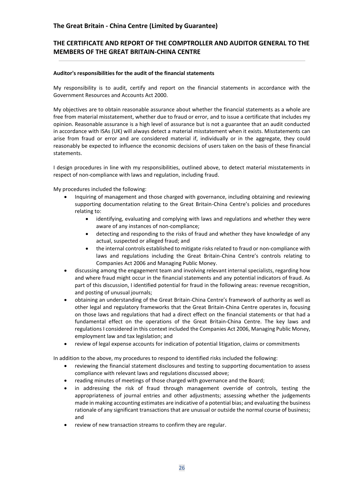## **THE CERTIFICATE AND REPORT OF THE COMPTROLLER AND AUDITOR GENERAL TO THE MEMBERS OF THE GREAT BRITAIN-CHINA CENTRE**

## **Auditor's responsibilities for the audit of the financial statements**

My responsibility is to audit, certify and report on the financial statements in accordance with the Government Resources and Accounts Act 2000.

My objectives are to obtain reasonable assurance about whether the financial statements as a whole are free from material misstatement, whether due to fraud or error, and to issue a certificate that includes my opinion. Reasonable assurance is a high level of assurance but is not a guarantee that an audit conducted in accordance with ISAs (UK) will always detect a material misstatement when it exists. Misstatements can arise from fraud or error and are considered material if, individually or in the aggregate, they could reasonably be expected to influence the economic decisions of users taken on the basis of these financial statements.

I design procedures in line with my responsibilities, outlined above, to detect material misstatements in respect of non-compliance with laws and regulation, including fraud.

My procedures included the following:

- Inquiring of management and those charged with governance, including obtaining and reviewing supporting documentation relating to the Great Britain-China Centre's policies and procedures relating to:
	- identifying, evaluating and complying with laws and regulations and whether they were aware of any instances of non-compliance;
	- detecting and responding to the risks of fraud and whether they have knowledge of any actual, suspected or alleged fraud; and
	- the internal controls established to mitigate risks related to fraud or non-compliance with laws and regulations including the Great Britain-China Centre's controls relating to Companies Act 2006 and Managing Public Money.
- discussing among the engagement team and involving relevant internal specialists, regarding how and where fraud might occur in the financial statements and any potential indicators of fraud. As part of this discussion, I identified potential for fraud in the following areas: revenue recognition, and posting of unusual journals;
- obtaining an understanding of the Great Britain-China Centre's framework of authority as well as other legal and regulatory frameworks that the Great Britain-China Centre operates in, focusing on those laws and regulations that had a direct effect on the financial statements or that had a fundamental effect on the operations of the Great Britain-China Centre. The key laws and regulations I considered in this context included the Companies Act 2006, Managing Public Money, employment law and tax legislation; and
- review of legal expense accounts for indication of potential litigation, claims or commitments

In addition to the above, my procedures to respond to identified risks included the following:

- reviewing the financial statement disclosures and testing to supporting documentation to assess compliance with relevant laws and regulations discussed above;
- reading minutes of meetings of those charged with governance and the Board;
- in addressing the risk of fraud through management override of controls, testing the appropriateness of journal entries and other adjustments; assessing whether the judgements made in making accounting estimates are indicative of a potential bias; and evaluating the business rationale of any significant transactions that are unusual or outside the normal course of business; and
- review of new transaction streams to confirm they are regular.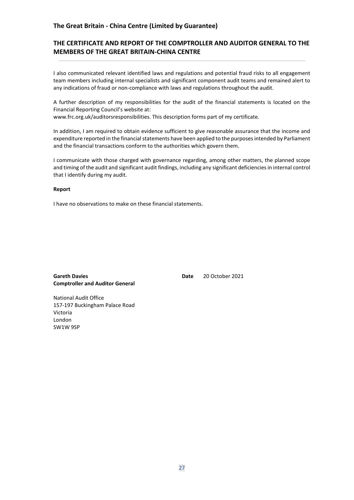## **The Great Britain - China Centre (Limited by Guarantee)**

## **THE CERTIFICATE AND REPORT OF THE COMPTROLLER AND AUDITOR GENERAL TO THE MEMBERS OF THE GREAT BRITAIN-CHINA CENTRE**

I also communicated relevant identified laws and regulations and potential fraud risks to all engagement team members including internal specialists and significant component audit teams and remained alert to any indications of fraud or non-compliance with laws and regulations throughout the audit.

A further description of my responsibilities for the audit of the financial statements is located on the Financial Reporting Council's website at:

www.frc.org.uk/auditorsresponsibilities. This description forms part of my certificate.

In addition, I am required to obtain evidence sufficient to give reasonable assurance that the income and expenditure reported in the financial statements have been applied to the purposes intended by Parliament and the financial transactions conform to the authorities which govern them.

I communicate with those charged with governance regarding, among other matters, the planned scope and timing of the audit and significant audit findings, including any significant deficiencies in internal control that I identify during my audit.

#### **Report**

I have no observations to make on these financial statements.

**Gareth Davies Date** 20 October 2021 **Comptroller and Auditor General**

National Audit Office 157-197 Buckingham Palace Road Victoria London SW1W 9SP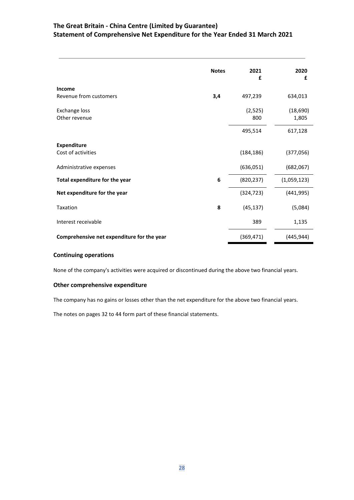## **The Great Britain - China Centre (Limited by Guarantee) Statement of Comprehensive Net Expenditure for the Year Ended 31 March 2021**

|                                            | <b>Notes</b> | 2021<br>£      | 2020<br>£         |
|--------------------------------------------|--------------|----------------|-------------------|
| <b>Income</b>                              |              |                |                   |
| Revenue from customers                     | 3,4          | 497,239        | 634,013           |
| <b>Exchange loss</b><br>Other revenue      |              | (2,525)<br>800 | (18,690)<br>1,805 |
|                                            |              | 495,514        | 617,128           |
| <b>Expenditure</b><br>Cost of activities   |              | (184, 186)     | (377,056)         |
|                                            |              |                |                   |
| Administrative expenses                    |              | (636,051)      | (682,067)         |
| Total expenditure for the year             | 6            | (820, 237)     | (1,059,123)       |
| Net expenditure for the year               |              | (324, 723)     | (441, 995)        |
| Taxation                                   | 8            | (45, 137)      | (5,084)           |
| Interest receivable                        |              | 389            | 1,135             |
| Comprehensive net expenditure for the year |              | (369, 471)     | (445, 944)        |

## **Continuing operations**

None of the company's activities were acquired or discontinued during the above two financial years.

## **Other comprehensive expenditure**

The company has no gains or losses other than the net expenditure for the above two financial years.

The notes on pages 32 to 44 form part of these financial statements.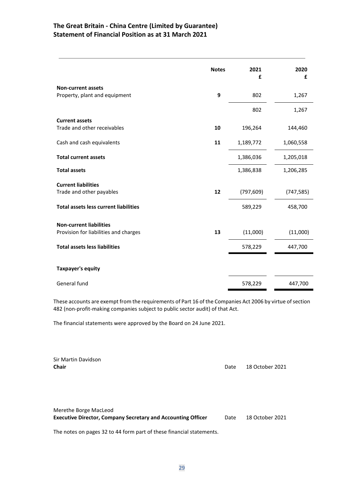## **The Great Britain - China Centre (Limited by Guarantee) Statement of Financial Position as at 31 March 2021**

|                                              | <b>Notes</b> | 2021<br>£  | 2020<br>£  |
|----------------------------------------------|--------------|------------|------------|
| <b>Non-current assets</b>                    |              |            |            |
| Property, plant and equipment                | 9            | 802        | 1,267      |
|                                              |              | 802        | 1,267      |
| <b>Current assets</b>                        |              |            |            |
| Trade and other receivables                  | 10           | 196,264    | 144,460    |
| Cash and cash equivalents                    | 11           | 1,189,772  | 1,060,558  |
| <b>Total current assets</b>                  |              | 1,386,036  | 1,205,018  |
| <b>Total assets</b>                          |              | 1,386,838  | 1,206,285  |
| <b>Current liabilities</b>                   |              |            |            |
| Trade and other payables                     | 12           | (797, 609) | (747, 585) |
| <b>Total assets less current liabilities</b> |              | 589,229    | 458,700    |
| <b>Non-current liabilities</b>               |              |            |            |
| Provision for liabilities and charges        | 13           | (11,000)   | (11,000)   |
| <b>Total assets less liabilities</b>         |              | 578,229    | 447,700    |
|                                              |              |            |            |
| <b>Taxpayer's equity</b>                     |              |            |            |
| General fund                                 |              | 578,229    | 447,700    |

These accounts are exempt from the requirements of Part 16 of the Companies Act 2006 by virtue of section 482 (non-profit-making companies subject to public sector audit) of that Act.

The financial statements were approved by the Board on 24 June 2021.

| Sir Martin Davidson<br><b>Chair</b>                                                          | Date | 18 October 2021 |
|----------------------------------------------------------------------------------------------|------|-----------------|
| Merethe Borge MacLeod<br><b>Executive Director, Company Secretary and Accounting Officer</b> | Date | 18 October 2021 |

The notes on pages 32 to 44 form part of these financial statements.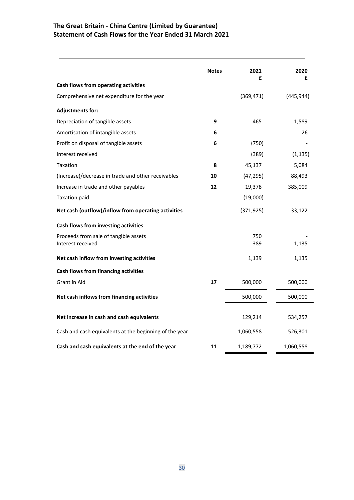## **The Great Britain - China Centre (Limited by Guarantee) Statement of Cash Flows for the Year Ended 31 March 2021**

|                                                            | <b>Notes</b> | 2021<br>£  | 2020<br>£  |
|------------------------------------------------------------|--------------|------------|------------|
| Cash flows from operating activities                       |              |            |            |
| Comprehensive net expenditure for the year                 |              | (369, 471) | (445, 944) |
| <b>Adjustments for:</b>                                    |              |            |            |
| Depreciation of tangible assets                            | 9            | 465        | 1,589      |
| Amortisation of intangible assets                          | 6            |            | 26         |
| Profit on disposal of tangible assets                      | 6            | (750)      |            |
| Interest received                                          |              | (389)      | (1, 135)   |
| Taxation                                                   | 8            | 45,137     | 5,084      |
| (Increase)/decrease in trade and other receivables         | 10           | (47, 295)  | 88,493     |
| Increase in trade and other payables                       | 12           | 19,378     | 385,009    |
| <b>Taxation paid</b>                                       |              | (19,000)   |            |
| Net cash (outflow)/inflow from operating activities        |              | (371, 925) | 33,122     |
| Cash flows from investing activities                       |              |            |            |
| Proceeds from sale of tangible assets<br>Interest received |              | 750<br>389 | 1,135      |
| Net cash inflow from investing activities                  |              | 1,139      | 1,135      |
| Cash flows from financing activities                       |              |            |            |
| Grant in Aid                                               | 17           | 500,000    | 500,000    |
| Net cash inflows from financing activities                 |              | 500,000    | 500,000    |
| Net increase in cash and cash equivalents                  |              | 129,214    | 534,257    |
| Cash and cash equivalents at the beginning of the year     |              | 1,060,558  | 526,301    |
| Cash and cash equivalents at the end of the year           | 11           | 1,189,772  | 1,060,558  |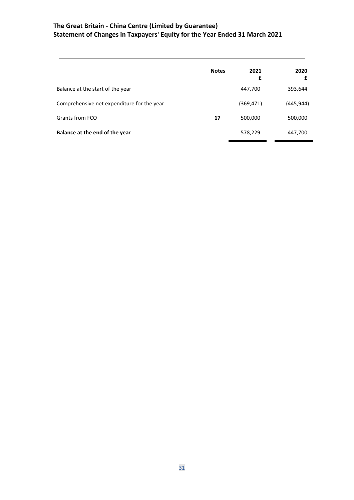## **The Great Britain - China Centre (Limited by Guarantee) Statement of Changes in Taxpayers' Equity for the Year Ended 31 March 2021**

|                                            | <b>Notes</b> | 2021<br>£  | 2020<br>£  |
|--------------------------------------------|--------------|------------|------------|
| Balance at the start of the year           |              | 447,700    | 393,644    |
| Comprehensive net expenditure for the year |              | (369, 471) | (445, 944) |
| Grants from FCO                            | 17           | 500,000    | 500,000    |
| Balance at the end of the year             |              | 578,229    | 447,700    |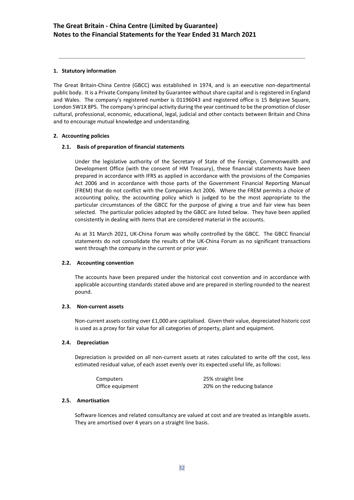## **1. Statutory information**

The Great Britain-China Centre (GBCC) was established in 1974, and is an executive non-departmental public body. It is a Private Company limited by Guarantee without share capital and is registered in England and Wales. The company's registered number is 01196043 and registered office is 15 Belgrave Square, London SW1X 8PS. The company's principal activity during the year continued to be the promotion of closer cultural, professional, economic, educational, legal, judicial and other contacts between Britain and China and to encourage mutual knowledge and understanding.

## **2. Accounting policies**

## **2.1. Basis of preparation of financial statements**

Under the legislative authority of the Secretary of State of the Foreign, Commonwealth and Development Office (with the consent of HM Treasury), these financial statements have been prepared in accordance with IFRS as applied in accordance with the provisions of the Companies Act 2006 and in accordance with those parts of the Government Financial Reporting Manual (FREM) that do not conflict with the Companies Act 2006. Where the FREM permits a choice of accounting policy, the accounting policy which is judged to be the most appropriate to the particular circumstances of the GBCC for the purpose of giving a true and fair view has been selected. The particular policies adopted by the GBCC are listed below. They have been applied consistently in dealing with items that are considered material in the accounts.

As at 31 March 2021, UK-China Forum was wholly controlled by the GBCC. The GBCC financial statements do not consolidate the results of the UK-China Forum as no significant transactions went through the company in the current or prior year.

## **2.2. Accounting convention**

The accounts have been prepared under the historical cost convention and in accordance with applicable accounting standards stated above and are prepared in sterling rounded to the nearest pound.

## **2.3. Non-current assets**

Non-current assets costing over £1,000 are capitalised. Given their value, depreciated historic cost is used as a proxy for fair value for all categories of property, plant and equipment.

## **2.4. Depreciation**

Depreciation is provided on all non-current assets at rates calculated to write off the cost, less estimated residual value, of each asset evenly over its expected useful life, as follows:

| Computers        | 25% straight line           |
|------------------|-----------------------------|
| Office equipment | 20% on the reducing balance |

## **2.5. Amortisation**

Software licences and related consultancy are valued at cost and are treated as intangible assets. They are amortised over 4 years on a straight line basis.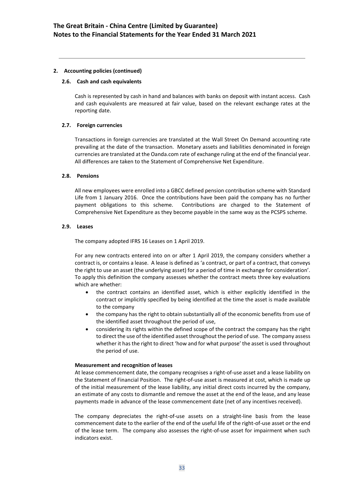## **2.6. Cash and cash equivalents**

Cash is represented by cash in hand and balances with banks on deposit with instant access. Cash and cash equivalents are measured at fair value, based on the relevant exchange rates at the reporting date.

## **2.7. Foreign currencies**

Transactions in foreign currencies are translated at the Wall Street On Demand accounting rate prevailing at the date of the transaction. Monetary assets and liabilities denominated in foreign currencies are translated at the Oanda.com rate of exchange ruling at the end of the financial year. All differences are taken to the Statement of Comprehensive Net Expenditure.

## **2.8. Pensions**

All new employees were enrolled into a GBCC defined pension contribution scheme with Standard Life from 1 January 2016. Once the contributions have been paid the company has no further payment obligations to this scheme. Contributions are charged to the Statement of Comprehensive Net Expenditure as they become payable in the same way as the PCSPS scheme.

### **2.9. Leases**

The company adopted IFRS 16 Leases on 1 April 2019.

For any new contracts entered into on or after 1 April 2019, the company considers whether a contract is, or contains a lease. A lease is defined as 'a contract, or part of a contract, that conveys the right to use an asset (the underlying asset) for a period of time in exchange for consideration'. To apply this definition the company assesses whether the contract meets three key evaluations which are whether:

- the contract contains an identified asset, which is either explicitly identified in the contract or implicitly specified by being identified at the time the asset is made available to the company
- the company has the right to obtain substantially all of the economic benefits from use of the identified asset throughout the period of use,
- considering its rights within the defined scope of the contract the company has the right to direct the use of the identified asset throughout the period of use. The company assess whether it has the right to direct 'how and for what purpose' the asset is used throughout the period of use.

#### **Measurement and recognition of leases**

At lease commencement date, the company recognises a right-of-use asset and a lease liability on the Statement of Financial Position. The right-of-use asset is measured at cost, which is made up of the initial measurement of the lease liability, any initial direct costs incurred by the company, an estimate of any costs to dismantle and remove the asset at the end of the lease, and any lease payments made in advance of the lease commencement date (net of any incentives received).

The company depreciates the right-of-use assets on a straight-line basis from the lease commencement date to the earlier of the end of the useful life of the right-of-use asset or the end of the lease term. The company also assesses the right-of-use asset for impairment when such indicators exist.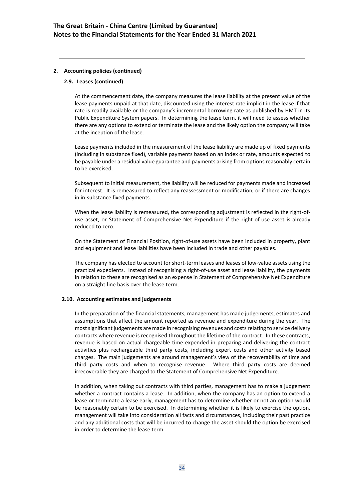## **2.9. Leases (continued)**

At the commencement date, the company measures the lease liability at the present value of the lease payments unpaid at that date, discounted using the interest rate implicit in the lease if that rate is readily available or the company's incremental borrowing rate as published by HMT in its Public Expenditure System papers. In determining the lease term, it will need to assess whether there are any options to extend or terminate the lease and the likely option the company will take at the inception of the lease.

Lease payments included in the measurement of the lease liability are made up of fixed payments (including in substance fixed), variable payments based on an index or rate, amounts expected to be payable under a residual value guarantee and payments arising from options reasonably certain to be exercised.

Subsequent to initial measurement, the liability will be reduced for payments made and increased for interest. It is remeasured to reflect any reassessment or modification, or if there are changes in in-substance fixed payments.

When the lease liability is remeasured, the corresponding adjustment is reflected in the right-ofuse asset, or Statement of Comprehensive Net Expenditure if the right-of-use asset is already reduced to zero.

On the Statement of Financial Position, right-of-use assets have been included in property, plant and equipment and lease liabilities have been included in trade and other payables.

The company has elected to account for short-term leases and leases of low-value assets using the practical expedients. Instead of recognising a right-of-use asset and lease liability, the payments in relation to these are recognised as an expense in Statement of Comprehensive Net Expenditure on a straight-line basis over the lease term.

## **2.10. Accounting estimates and judgements**

In the preparation of the financial statements, management has made judgements, estimates and assumptions that affect the amount reported as revenue and expenditure during the year. The most significant judgements are made in recognising revenues and costs relating to service delivery contracts where revenue is recognised throughout the lifetime of the contract. In these contracts, revenue is based on actual chargeable time expended in preparing and delivering the contract activities plus rechargeable third party costs, including expert costs and other activity based charges. The main judgements are around management's view of the recoverability of time and third party costs and when to recognise revenue. Where third party costs are deemed irrecoverable they are charged to the Statement of Comprehensive Net Expenditure.

In addition, when taking out contracts with third parties, management has to make a judgement whether a contract contains a lease. In addition, when the company has an option to extend a lease or terminate a lease early, management has to determine whether or not an option would be reasonably certain to be exercised. In determining whether it is likely to exercise the option, management will take into consideration all facts and circumstances, including their past practice and any additional costs that will be incurred to change the asset should the option be exercised in order to determine the lease term.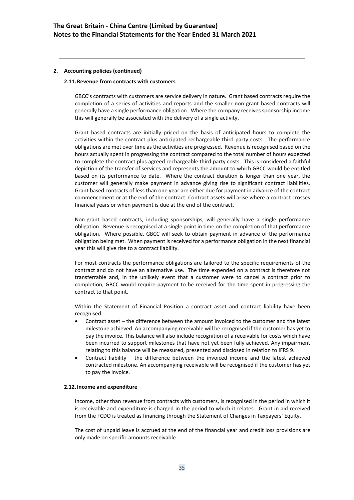## **2.11.Revenue from contracts with customers**

GBCC's contracts with customers are service delivery in nature. Grant based contracts require the completion of a series of activities and reports and the smaller non-grant based contracts will generally have a single performance obligation. Where the company receives sponsorship income this will generally be associated with the delivery of a single activity.

Grant based contracts are initially priced on the basis of anticipated hours to complete the activities within the contract plus anticipated rechargeable third party costs. The performance obligations are met over time as the activities are progressed. Revenue is recognised based on the hours actually spent in progressing the contract compared to the total number of hours expected to complete the contract plus agreed rechargeable third party costs. This is considered a faithful depiction of the transfer of services and represents the amount to which GBCC would be entitled based on its performance to date. Where the contract duration is longer than one year, the customer will generally make payment in advance giving rise to significant contract liabilities. Grant based contracts of less than one year are either due for payment in advance of the contract commencement or at the end of the contract. Contract assets will arise where a contract crosses financial years or when payment is due at the end of the contract.

Non-grant based contracts, including sponsorships, will generally have a single performance obligation. Revenue is recognised at a single point in time on the completion of that performance obligation. Where possible, GBCC will seek to obtain payment in advance of the performance obligation being met. When payment is received for a performance obligation in the next financial year this will give rise to a contract liability.

For most contracts the performance obligations are tailored to the specific requirements of the contract and do not have an alternative use. The time expended on a contract is therefore not transferrable and, in the unlikely event that a customer were to cancel a contract prior to completion, GBCC would require payment to be received for the time spent in progressing the contract to that point.

Within the Statement of Financial Position a contract asset and contract liability have been recognised:

- Contract asset the difference between the amount invoiced to the customer and the latest milestone achieved. An accompanying receivable will be recognised if the customer has yet to pay the invoice. This balance will also include recognition of a receivable for costs which have been incurred to support milestones that have not yet been fully achieved. Any impairment relating to this balance will be measured, presented and disclosed in relation to IFRS 9.
- Contract liability the difference between the invoiced income and the latest achieved contracted milestone. An accompanying receivable will be recognised if the customer has yet to pay the invoice.

#### **2.12.Income and expenditure**

Income, other than revenue from contracts with customers, is recognised in the period in which it is receivable and expenditure is charged in the period to which it relates. Grant-in-aid received from the FCDO is treated as financing through the Statement of Changes in Taxpayers' Equity.

The cost of unpaid leave is accrued at the end of the financial year and credit loss provisions are only made on specific amounts receivable.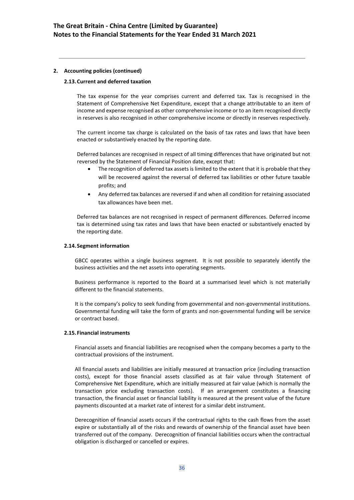## **2.13.Current and deferred taxation**

The tax expense for the year comprises current and deferred tax. Tax is recognised in the Statement of Comprehensive Net Expenditure, except that a change attributable to an item of income and expense recognised as other comprehensive income or to an item recognised directly in reserves is also recognised in other comprehensive income or directly in reserves respectively.

The current income tax charge is calculated on the basis of tax rates and laws that have been enacted or substantively enacted by the reporting date.

Deferred balances are recognised in respect of all timing differences that have originated but not reversed by the Statement of Financial Position date, except that:

- The recognition of deferred tax assets is limited to the extent that it is probable that they will be recovered against the reversal of deferred tax liabilities or other future taxable profits; and
- Any deferred tax balances are reversed if and when all condition for retaining associated tax allowances have been met.

Deferred tax balances are not recognised in respect of permanent differences. Deferred income tax is determined using tax rates and laws that have been enacted or substantively enacted by the reporting date.

### **2.14.Segment information**

GBCC operates within a single business segment. It is not possible to separately identify the business activities and the net assets into operating segments.

Business performance is reported to the Board at a summarised level which is not materially different to the financial statements.

It is the company's policy to seek funding from governmental and non-governmental institutions. Governmental funding will take the form of grants and non-governmental funding will be service or contract based.

#### **2.15. Financial instruments**

Financial assets and financial liabilities are recognised when the company becomes a party to the contractual provisions of the instrument.

All financial assets and liabilities are initially measured at transaction price (including transaction costs), except for those financial assets classified as at fair value through Statement of Comprehensive Net Expenditure, which are initially measured at fair value (which is normally the transaction price excluding transaction costs). If an arrangement constitutes a financing transaction, the financial asset or financial liability is measured at the present value of the future payments discounted at a market rate of interest for a similar debt instrument.

Derecognition of financial assets occurs if the contractual rights to the cash flows from the asset expire or substantially all of the risks and rewards of ownership of the financial asset have been transferred out of the company. Derecognition of financial liabilities occurs when the contractual obligation is discharged or cancelled or expires.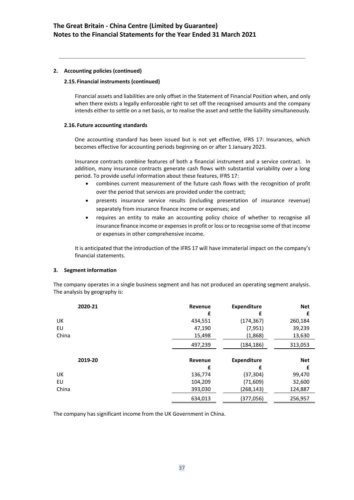## **2.15. Financial instruments (continued)**

Financial assets and liabilities are only offset in the Statement of Financial Position when, and only when there exists a legally enforceable right to set off the recognised amounts and the company intends either to settle on a net basis, or to realise the asset and settle the liability simultaneously.

## **2.16. Future accounting standards**

One accounting standard has been issued but is not yet effective, IFRS 17: Insurances, which becomes effective for accounting periods beginning on or after 1 January 2023.

Insurance contracts combine features of both a financial instrument and a service contract. In addition, many insurance contracts generate cash flows with substantial variability over a long period. To provide useful information about these features, IFRS 17:

- combines current measurement of the future cash flows with the recognition of profit over the period that services are provided under the contract;
- presents insurance service results (including presentation of insurance revenue) separately from insurance finance income or expenses; and
- requires an entity to make an accounting policy choice of whether to recognise all insurance finance income or expenses in profit or loss or to recognise some of that income or expenses in other comprehensive income.

It is anticipated that the introduction of the IFRS 17 will have immaterial impact on the company's financial statements.

## **3. Segment information**

The company operates in a single business segment and has not produced an operating segment analysis. The analysis by geography is:

|       | 2020-21 | Revenue | <b>Expenditure</b> | <b>Net</b> |
|-------|---------|---------|--------------------|------------|
|       |         | £       | £                  | £          |
| UK    |         | 434,551 | (174, 367)         | 260,184    |
| EU    |         | 47,190  | (7, 951)           | 39,239     |
| China |         | 15,498  | (1,868)            | 13,630     |
|       |         | 497,239 | (184,186)          | 313,053    |
|       |         |         |                    |            |
|       | 2019-20 | Revenue | <b>Expenditure</b> | <b>Net</b> |
|       |         | £       | £                  | £          |
| UK    |         | 136,774 | (37, 304)          | 99,470     |
| EU    |         | 104,209 | (71,609)           | 32,600     |
| China |         | 393,030 | (268,143)          | 124,887    |
|       |         | 634,013 | (377,056)          | 256,957    |

The company has significant income from the UK Government in China.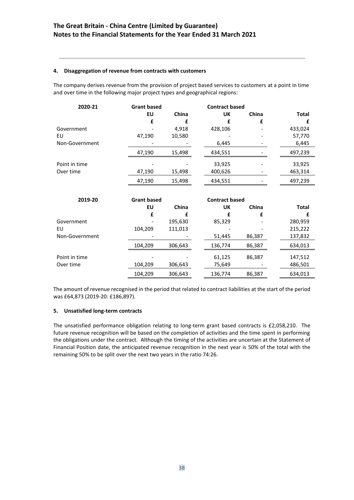## **4. Disaggregation of revenue from contracts with customers**

The company derives revenue from the provision of project based services to customers at a point in time and over time in the following major project types and geographical regions:

| 2020-21        | <b>Grant based</b> |         | <b>Contract based</b> |        |              |
|----------------|--------------------|---------|-----------------------|--------|--------------|
|                | EU                 | China   | UK                    | China  | <b>Total</b> |
|                | £                  | £       | £                     | £      | £            |
| Government     |                    | 4,918   | 428,106               |        | 433,024      |
| EU             | 47,190             | 10,580  |                       |        | 57,770       |
| Non-Government |                    |         | 6,445                 |        | 6,445        |
|                | 47,190             | 15,498  | 434,551               |        | 497,239      |
| Point in time  |                    |         | 33,925                |        | 33,925       |
| Over time      | 47,190             | 15,498  | 400,626               |        | 463,314      |
|                | 47,190             | 15,498  | 434,551               |        | 497,239      |
|                |                    |         |                       |        |              |
| 2019-20        | <b>Grant based</b> |         | <b>Contract based</b> |        |              |
|                | EU                 | China   | UK                    | China  | <b>Total</b> |
|                | £                  | £       | f                     | £      | £            |
| Government     |                    | 195,630 | 85,329                |        | 280,959      |
| EU             | 104,209            | 111,013 |                       |        | 215,222      |
| Non-Government |                    |         | 51,445                | 86,387 | 137,832      |
|                | 104,209            | 306,643 | 136,774               | 86,387 | 634,013      |
| Point in time  |                    |         | 61,125                | 86,387 | 147,512      |
| Over time      | 104,209            | 306,643 | 75,649                |        | 486,501      |
|                |                    |         |                       |        |              |

The amount of revenue recognised in the period that related to contract liabilities at the start of the period was £64,873 (2019-20: £186,897).

## **5. Unsatisfied long-term contracts**

The unsatisfied performance obligation relating to long-term grant based contracts is £2,058,210. The future revenue recognition will be based on the completion of activities and the time spent in performing the obligations under the contract. Although the timing of the activities are uncertain at the Statement of Financial Position date, the anticipated revenue recognition in the next year is 50% of the total with the remaining 50% to be split over the next two years in the ratio 74:26.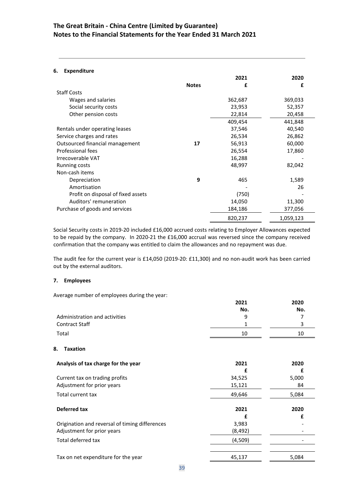## **The Great Britain - China Centre (Limited by Guarantee) Notes to the Financial Statements for the Year Ended 31 March 2021**

## **6. Expenditure**

|                                    |              | 2021    | 2020      |
|------------------------------------|--------------|---------|-----------|
|                                    | <b>Notes</b> | £       | £         |
| <b>Staff Costs</b>                 |              |         |           |
| Wages and salaries                 |              | 362,687 | 369,033   |
| Social security costs              |              | 23,953  | 52,357    |
| Other pension costs                |              | 22,814  | 20,458    |
|                                    |              | 409,454 | 441,848   |
| Rentals under operating leases     |              | 37,546  | 40,540    |
| Service charges and rates          |              | 26,534  | 26,862    |
| Outsourced financial management    | 17           | 56,913  | 60,000    |
| Professional fees                  |              | 26,554  | 17,860    |
| Irrecoverable VAT                  |              | 16,288  |           |
| Running costs                      |              | 48,997  | 82,042    |
| Non-cash items                     |              |         |           |
| Depreciation                       | 9            | 465     | 1,589     |
| Amortisation                       |              |         | 26        |
| Profit on disposal of fixed assets |              | (750)   |           |
| Auditors' remuneration             |              | 14,050  | 11,300    |
| Purchase of goods and services     |              | 184,186 | 377,056   |
|                                    |              | 820,237 | 1,059,123 |

Social Security costs in 2019-20 included £16,000 accrued costs relating to Employer Allowances expected to be repaid by the company. In 2020-21 the £16,000 accrual was reversed since the company received confirmation that the company was entitled to claim the allowances and no repayment was due.

The audit fee for the current year is £14,050 (2019-20: £11,300) and no non-audit work has been carried out by the external auditors.

## **7. Employees**

Average number of employees during the year:

|                                                | 2021     | 2020  |
|------------------------------------------------|----------|-------|
|                                                | No.      | No.   |
| Administration and activities                  | 9        | 7     |
| <b>Contract Staff</b>                          | 1        | 3     |
| Total                                          | 10       | 10    |
| 8.<br><b>Taxation</b>                          |          |       |
| Analysis of tax charge for the year            | 2021     | 2020  |
|                                                | £        | £     |
| Current tax on trading profits                 | 34,525   | 5,000 |
| Adjustment for prior years                     | 15,121   | 84    |
| Total current tax                              | 49,646   | 5,084 |
| <b>Deferred tax</b>                            | 2021     | 2020  |
|                                                | £        | £     |
| Origination and reversal of timing differences | 3,983    |       |
| Adjustment for prior years                     | (8, 492) |       |
| <b>Total deferred tax</b>                      | (4,509)  |       |
| Tax on net expenditure for the year            | 45,137   | 5,084 |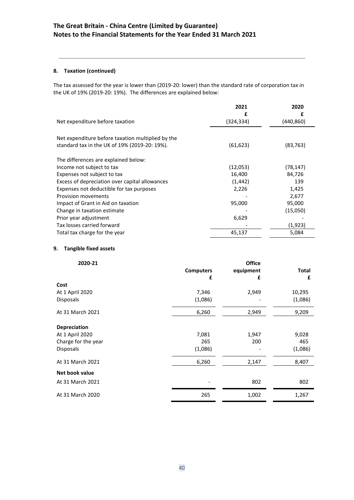## **8. Taxation (continued)**

The tax assessed for the year is lower than (2019-20: lower) than the standard rate of corporation tax in the UK of 19% (2019-20: 19%). The differences are explained below:

|                                                   | 2021<br>£  | 2020<br>£ |
|---------------------------------------------------|------------|-----------|
| Net expenditure before taxation                   | (324, 334) | (440,860) |
| Net expenditure before taxation multiplied by the |            |           |
| standard tax in the UK of 19% (2019-20: 19%).     | (61, 623)  | (83,763)  |
| The differences are explained below:              |            |           |
| Income not subject to tax                         | (12,053)   | (78, 147) |
| Expenses not subject to tax                       | 16,400     | 84,726    |
| Excess of depreciation over capital allowances    | (1, 442)   | 139       |
| Expenses not deductible for tax purposes          | 2,226      | 1,425     |
| Provision movements                               |            | 2,677     |
| Impact of Grant in Aid on taxation                | 95,000     | 95,000    |
| Change in taxation estimate                       |            | (15,050)  |
| Prior year adjustment                             | 6,629      |           |
| Tax losses carried forward                        |            | (1,923)   |
| Total tax charge for the year                     | 45,137     | 5,084     |

## **9. Tangible fixed assets**

| 2020-21             |                  | <b>Office</b> |              |
|---------------------|------------------|---------------|--------------|
|                     | <b>Computers</b> | equipment     | <b>Total</b> |
|                     | £                | £             | £            |
| Cost                |                  |               |              |
| At 1 April 2020     | 7,346            | 2,949         | 10,295       |
| Disposals           | (1,086)          |               | (1,086)      |
| At 31 March 2021    | 6,260            | 2,949         | 9,209        |
| <b>Depreciation</b> |                  |               |              |
| At 1 April 2020     | 7,081            | 1,947         | 9,028        |
| Charge for the year | 265              | 200           | 465          |
| Disposals           | (1,086)          |               | (1,086)      |
| At 31 March 2021    | 6,260            | 2,147         | 8,407        |
| Net book value      |                  |               |              |
| At 31 March 2021    |                  | 802           | 802          |
| At 31 March 2020    | 265              | 1,002         | 1,267        |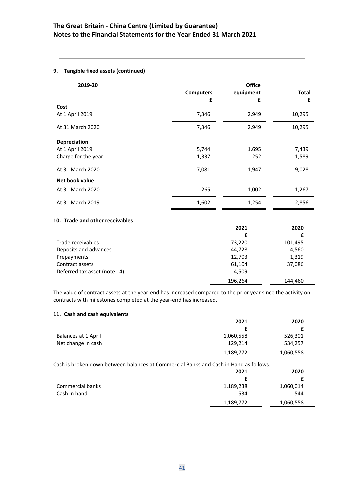## **9. Tangible fixed assets (continued)**

| 2019-20             | <b>Computers</b><br>£ | <b>Office</b><br>equipment<br>£ | Total<br>£ |
|---------------------|-----------------------|---------------------------------|------------|
| Cost                |                       |                                 |            |
| At 1 April 2019     | 7,346                 | 2,949                           | 10,295     |
| At 31 March 2020    | 7,346                 | 2,949                           | 10,295     |
| <b>Depreciation</b> |                       |                                 |            |
| At 1 April 2019     | 5,744                 | 1,695                           | 7,439      |
| Charge for the year | 1,337                 | 252                             | 1,589      |
| At 31 March 2020    | 7,081                 | 1,947                           | 9,028      |
| Net book value      |                       |                                 |            |
| At 31 March 2020    | 265                   | 1,002                           | 1,267      |
| At 31 March 2019    | 1,602                 | 1,254                           | 2,856      |

## **10. Trade and other receivables**

|                              | 2021    | 2020    |
|------------------------------|---------|---------|
|                              | £       |         |
| Trade receivables            | 73,220  | 101,495 |
| Deposits and advances        | 44,728  | 4,560   |
| Prepayments                  | 12,703  | 1,319   |
| Contract assets              | 61,104  | 37,086  |
| Deferred tax asset (note 14) | 4,509   |         |
|                              | 196,264 | 144.460 |

The value of contract assets at the year-end has increased compared to the prior year since the activity on contracts with milestones completed at the year-end has increased.

## **11. Cash and cash equivalents**

|                                                                                       | 2021      | 2020      |
|---------------------------------------------------------------------------------------|-----------|-----------|
|                                                                                       | £         |           |
| Balances at 1 April                                                                   | 1,060,558 | 526,301   |
| Net change in cash                                                                    | 129,214   | 534,257   |
|                                                                                       | 1,189,772 | 1,060,558 |
| Cash is broken down between balances at Commercial Banks and Cash in Hand as follows: | 2021      | 2020      |
|                                                                                       | £         |           |
| Commercial banks                                                                      | 1,189,238 | 1,060,014 |
| Cash in hand                                                                          | 534       | 544       |
|                                                                                       | 1,189,772 | 1,060,558 |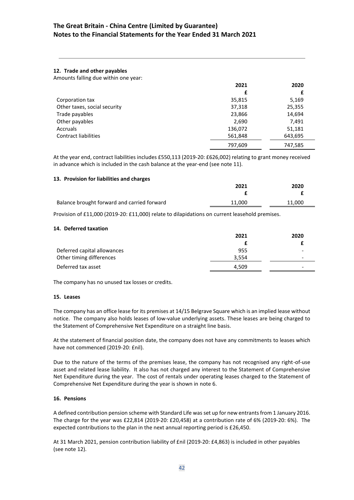## **The Great Britain - China Centre (Limited by Guarantee) Notes to the Financial Statements for the Year Ended 31 March 2021**

## **12. Trade and other payables**

Amounts falling due within one year:

|                              | 2021    | 2020    |
|------------------------------|---------|---------|
|                              | £       | £       |
| Corporation tax              | 35,815  | 5,169   |
| Other taxes, social security | 37,318  | 25,355  |
| Trade payables               | 23,866  | 14,694  |
| Other payables               | 2,690   | 7,491   |
| Accruals                     | 136,072 | 51,181  |
| <b>Contract liabilities</b>  | 561,848 | 643,695 |
|                              | 797,609 | 747,585 |

At the year end, contract liabilities includes £550,113 (2019-20: £626,002) relating to grant money received in advance which is included in the cash balance at the year-end (see note 11).

### **13. Provision for liabilities and charges**

|                                             | 2021   | 2020   |
|---------------------------------------------|--------|--------|
|                                             |        |        |
| Balance brought forward and carried forward | 11.000 | 11.000 |

Provision of £11,000 (2019-20: £11,000) relate to dilapidations on current leasehold premises.

#### **14. Deferred taxation**

| 2021  | 2020                     |
|-------|--------------------------|
|       |                          |
| 955   | -                        |
| 3.554 | $\overline{\phantom{0}}$ |
| 4.509 | -                        |
|       |                          |

The company has no unused tax losses or credits.

#### **15. Leases**

The company has an office lease for its premises at 14/15 Belgrave Square which is an implied lease without notice. The company also holds leases of low-value underlying assets. These leases are being charged to the Statement of Comprehensive Net Expenditure on a straight line basis.

At the statement of financial position date, the company does not have any commitments to leases which have not commenced (2019-20: £nil).

Due to the nature of the terms of the premises lease, the company has not recognised any right-of-use asset and related lease liability. It also has not charged any interest to the Statement of Comprehensive Net Expenditure during the year. The cost of rentals under operating leases charged to the Statement of Comprehensive Net Expenditure during the year is shown in note 6.

## **16. Pensions**

A defined contribution pension scheme with Standard Life was set up for new entrants from 1 January 2016. The charge for the year was £22,814 (2019-20: £20,458) at a contribution rate of 6% (2019-20: 6%). The expected contributions to the plan in the next annual reporting period is £26,450.

At 31 March 2021, pension contribution liability of £nil (2019-20: £4,863) is included in other payables (see note 12).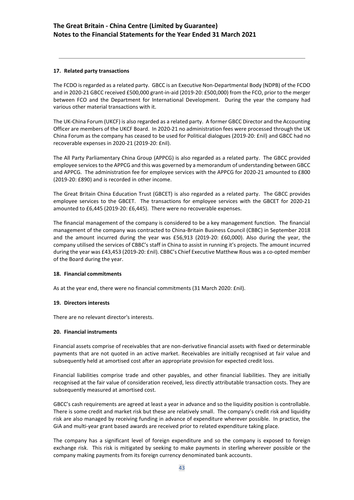## **17. Related party transactions**

The FCDO is regarded as a related party. GBCC is an Executive Non-Departmental Body (NDPB) of the FCDO and in 2020-21 GBCC received £500,000 grant-in-aid (2019-20: £500,000) from the FCO, prior to the merger between FCO and the Department for International Development. During the year the company had various other material transactions with it.

The UK-China Forum (UKCF) is also regarded as a related party. A former GBCC Director and the Accounting Officer are members of the UKCF Board. In 2020-21 no administration fees were processed through the UK China Forum as the company has ceased to be used for Political dialogues (2019-20: £nil) and GBCC had no recoverable expenses in 2020-21 (2019-20: £nil).

The All Party Parliamentary China Group (APPCG) is also regarded as a related party. The GBCC provided employee services to the APPCG and this was governed by a memorandum of understanding between GBCC and APPCG. The administration fee for employee services with the APPCG for 2020-21 amounted to £800 (2019-20: £890) and is recorded in other income.

The Great Britain China Education Trust (GBCET) is also regarded as a related party. The GBCC provides employee services to the GBCET. The transactions for employee services with the GBCET for 2020-21 amounted to £6,445 (2019-20: £6,445). There were no recoverable expenses.

The financial management of the company is considered to be a key management function. The financial management of the company was contracted to China-Britain Business Council (CBBC) in September 2018 and the amount incurred during the year was £56,913 (2019-20: £60,000). Also during the year, the company utilised the services of CBBC's staff in China to assist in running it's projects. The amount incurred during the year was £43,453 (2019-20: £nil). CBBC's Chief Executive Matthew Rous was a co-opted member of the Board during the year.

## **18. Financial commitments**

As at the year end, there were no financial commitments (31 March 2020: £nil).

## **19. Directors interests**

There are no relevant director's interests.

## **20. Financial instruments**

Financial assets comprise of receivables that are non-derivative financial assets with fixed or determinable payments that are not quoted in an active market. Receivables are initially recognised at fair value and subsequently held at amortised cost after an appropriate provision for expected credit loss.

Financial liabilities comprise trade and other payables, and other financial liabilities. They are initially recognised at the fair value of consideration received, less directly attributable transaction costs. They are subsequently measured at amortised cost.

GBCC's cash requirements are agreed at least a year in advance and so the liquidity position is controllable. There is some credit and market risk but these are relatively small. The company's credit risk and liquidity risk are also managed by receiving funding in advance of expenditure wherever possible. In practice, the GiA and multi-year grant based awards are received prior to related expenditure taking place.

The company has a significant level of foreign expenditure and so the company is exposed to foreign exchange risk. This risk is mitigated by seeking to make payments in sterling wherever possible or the company making payments from its foreign currency denominated bank accounts.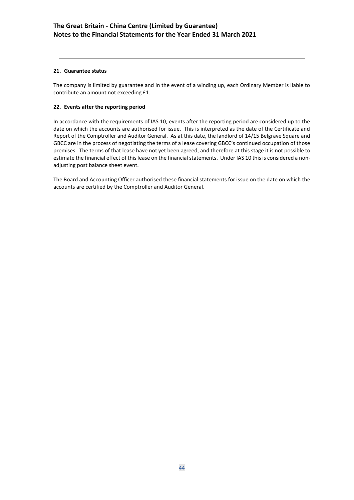## **21. Guarantee status**

The company is limited by guarantee and in the event of a winding up, each Ordinary Member is liable to contribute an amount not exceeding £1.

## **22. Events after the reporting period**

In accordance with the requirements of IAS 10, events after the reporting period are considered up to the date on which the accounts are authorised for issue. This is interpreted as the date of the Certificate and Report of the Comptroller and Auditor General. As at this date, the landlord of 14/15 Belgrave Square and GBCC are in the process of negotiating the terms of a lease covering GBCC's continued occupation of those premises. The terms of that lease have not yet been agreed, and therefore at this stage it is not possible to estimate the financial effect of this lease on the financial statements. Under IAS 10 this is considered a nonadjusting post balance sheet event.

The Board and Accounting Officer authorised these financial statements for issue on the date on which the accounts are certified by the Comptroller and Auditor General.